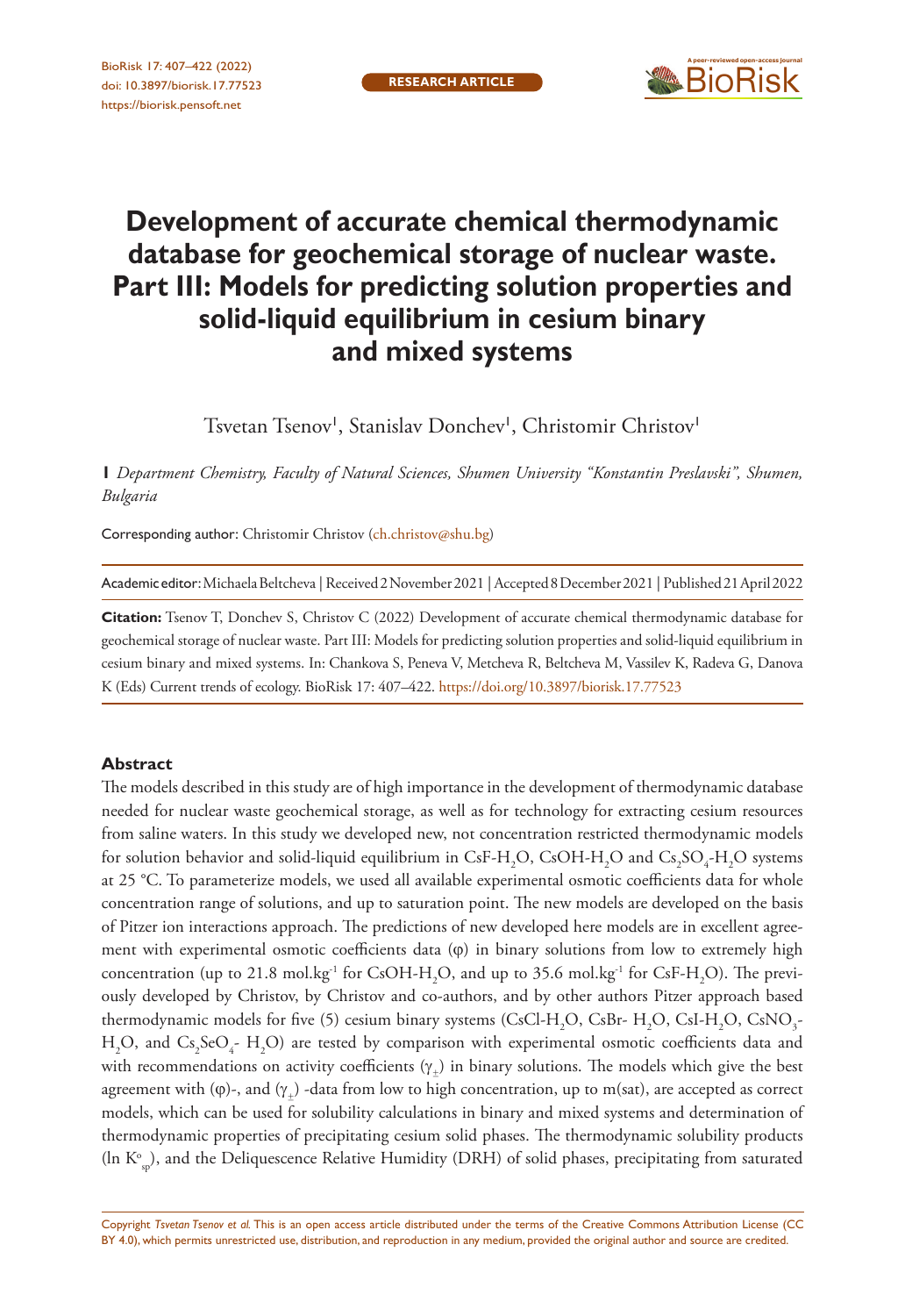

# **Development of accurate chemical thermodynamic database for geochemical storage of nuclear waste. Part III: Models for predicting solution properties and solid-liquid equilibrium in cesium binary and mixed systems**

Tsvetan Tsenov<sup>1</sup>, Stanislav Donchev<sup>1</sup>, Christomir Christov<sup>1</sup>

**1** *Department Chemistry, Faculty of Natural Sciences, Shumen University "Konstantin Preslavski", Shumen, Bulgaria*

Corresponding author: Christomir Christov ([ch.christov@shu.bg](mailto:ch.christov@shu.bg))

Academic editor: Michaela Beltcheva | Received 2 November 2021 | Accepted 8 December 2021 | Published 21 April 2022

**Citation:** Tsenov T, Donchev S, Christov C (2022) Development of accurate chemical thermodynamic database for geochemical storage of nuclear waste. Part III: Models for predicting solution properties and solid-liquid equilibrium in cesium binary and mixed systems. In: Chankova S, Peneva V, Metcheva R, Beltcheva M, Vassilev K, Radeva G, Danova K (Eds) Current trends of ecology. BioRisk 17: 407–422.<https://doi.org/10.3897/biorisk.17.77523>

#### **Abstract**

The models described in this study are of high importance in the development of thermodynamic database needed for nuclear waste geochemical storage, as well as for technology for extracting cesium resources from saline waters. In this study we developed new, not concentration restricted thermodynamic models for solution behavior and solid-liquid equilibrium in CsF-H<sub>2</sub>O, CsOH-H<sub>2</sub>O and Cs<sub>2</sub>SO<sub>4</sub>-H<sub>2</sub>O systems at 25 °C. To parameterize models, we used all available experimental osmotic coefficients data for whole concentration range of solutions, and up to saturation point. The new models are developed on the basis of Pitzer ion interactions approach. The predictions of new developed here models are in excellent agreement with experimental osmotic coefficients data  $(\varphi)$  in binary solutions from low to extremely high concentration (up to 21.8 mol.kg<sup>-1</sup> for CsOH-H<sub>2</sub>O, and up to 35.6 mol.kg<sup>-1</sup> for CsF-H<sub>2</sub>O). The previously developed by Christov, by Christov and co-authors, and by other authors Pitzer approach based thermodynamic models for five (5) cesium binary systems (CsCl-H<sub>2</sub>O, CsBr- H<sub>2</sub>O, CsI-H<sub>2</sub>O, CsNO<sub>3</sub>- $H_2O$ , and  $Cs_2SeO_4$ -  $H_2O$ ) are tested by comparison with experimental osmotic coefficients data and with recommendations on activity coefficients  $(\gamma_+)$  in binary solutions. The models which give the best agreement with ( $\varphi$ )-, and  $(\gamma_+)$ -data from low to high concentration, up to m(sat), are accepted as correct models, which can be used for solubility calculations in binary and mixed systems and determination of thermodynamic properties of precipitating cesium solid phases. The thermodynamic solubility products (In  $K^{\circ}_{sp}$ ), and the Deliquescence Relative Humidity (DRH) of solid phases, precipitating from saturated

Copyright *Tsvetan Tsenov et al.* This is an open access article distributed under the terms of the [Creative Commons Attribution License \(CC](http://creativecommons.org/licenses/by/4.0/)  [BY 4.0\)](http://creativecommons.org/licenses/by/4.0/), which permits unrestricted use, distribution, and reproduction in any medium, provided the original author and source are credited.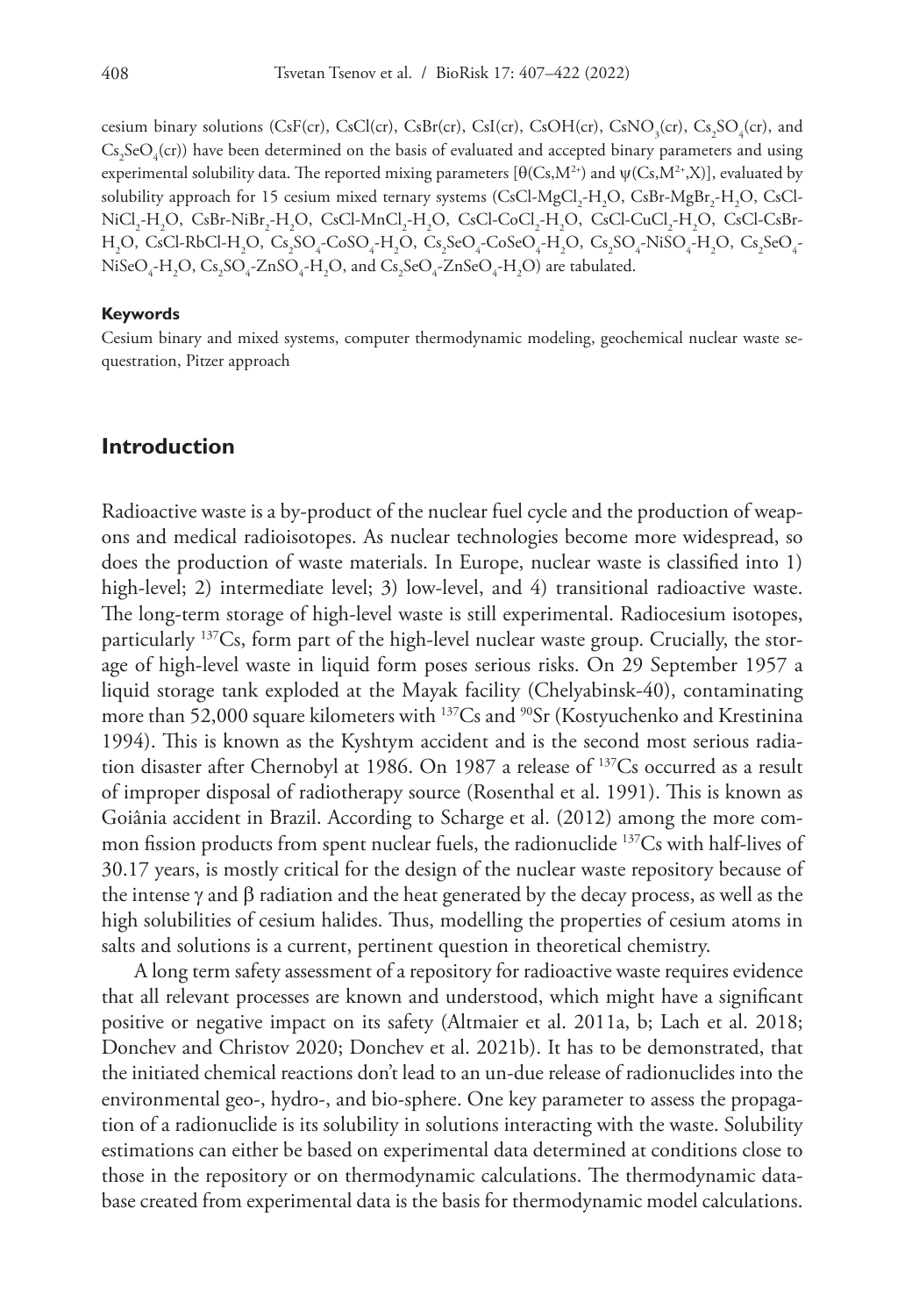cesium binary solutions (CsF(cr), CsCl(cr), CsBr(cr), CsI(cr), CsOH(cr), CsNO<sub>3</sub>(cr), Cs<sub>2</sub>SO<sub>4</sub>(cr), and  $\text{Cs}_2\text{SeO}_4(\text{cr})$ ) have been determined on the basis of evaluated and accepted binary parameters and using experimental solubility data. The reported mixing parameters  $[\theta(Cs,M^{2*})$  and  $\psi(Cs,M^{2*},X)]$ , evaluated by solubility approach for 15 cesium mixed ternary systems (CsCl-MgCl<sub>2</sub>-H<sub>2</sub>O, CsBr-MgBr<sub>2</sub>-H<sub>2</sub>O, CsCl- $\rm NiCl_{2}$ -H<sub>2</sub>O, CsBr-NiBr<sub>2</sub>-H<sub>2</sub>O, CsCl-MnCl<sub>2</sub>-H<sub>2</sub>O, CsCl-CoCl<sub>2</sub>-H<sub>2</sub>O, CsCl-CuCl<sub>2</sub>-H<sub>2</sub>O, CsCl-CsBr- $\rm H_2O, \ CsC1-RbC1-H_2O, \ Cs_2SO_4\text{-}CoSO_4\text{-}H_2O, \ Cs_2SeO_4\text{-}CoSeO_4\text{-}H_2O, \ Cs_2SO_4\text{-}NiSO_4\text{-}H_2O, \ Cs_2SeO_4\text{-}O_4$  $NiseO_{4}$ - $H_{2}O$ ,  $Cs_{2}SO_{4}$ - $ZnSO_{4}$ - $H_{2}O$ , and  $Cs_{2}SeO_{4}$ - $ZnSeO_{4}$ - $H_{2}O$ ) are tabulated.

#### **Keywords**

Cesium binary and mixed systems, computer thermodynamic modeling, geochemical nuclear waste sequestration, Pitzer approach

### **Introduction**

Radioactive waste is a by-product of the nuclear fuel cycle and the production of weapons and medical radioisotopes. As nuclear technologies become more widespread, so does the production of waste materials. In Europe, nuclear waste is classified into 1) high-level; 2) intermediate level; 3) low-level, and 4) transitional radioactive waste. The long-term storage of high-level waste is still experimental. Radiocesium isotopes, particularly 137Cs, form part of the high-level nuclear waste group. Crucially, the storage of high-level waste in liquid form poses serious risks. On 29 September 1957 a liquid storage tank exploded at the Mayak facility (Chelyabinsk-40), contaminating more than 52,000 square kilometers with <sup>137</sup>Cs and <sup>90</sup>Sr (Kostyuchenko and Krestinina 1994). This is known as the Kyshtym accident and is the second most serious radiation disaster after Chernobyl at 1986. On 1987 a release of 137Cs occurred as a result of improper disposal of radiotherapy source (Rosenthal et al. 1991). This is known as Goiânia accident in Brazil. According to Scharge et al. (2012) among the more common fission products from spent nuclear fuels, the radionuclide <sup>137</sup>Cs with half-lives of 30.17 years, is mostly critical for the design of the nuclear waste repository because of the intense γ and β radiation and the heat generated by the decay process, as well as the high solubilities of cesium halides. Thus, modelling the properties of cesium atoms in salts and solutions is a current, pertinent question in theoretical chemistry.

A long term safety assessment of a repository for radioactive waste requires evidence that all relevant processes are known and understood, which might have a significant positive or negative impact on its safety (Altmaier et al. 2011a, b; Lach et al. 2018; Donchev and Christov 2020; Donchev et al. 2021b). It has to be demonstrated, that the initiated chemical reactions don't lead to an un-due release of radionuclides into the environmental geo-, hydro-, and bio-sphere. One key parameter to assess the propagation of a radionuclide is its solubility in solutions interacting with the waste. Solubility estimations can either be based on experimental data determined at conditions close to those in the repository or on thermodynamic calculations. The thermodynamic database created from experimental data is the basis for thermodynamic model calculations.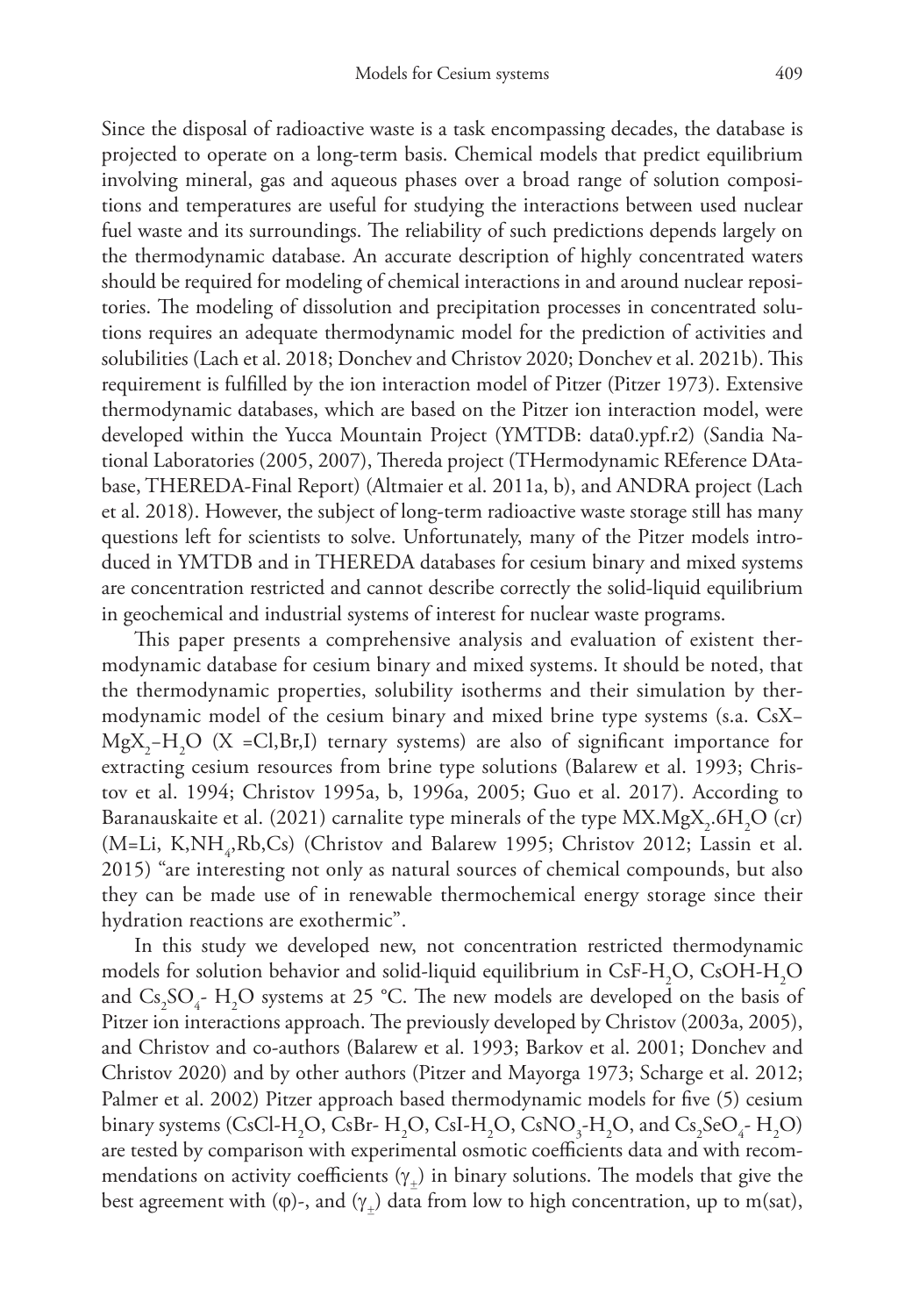Since the disposal of radioactive waste is a task encompassing decades, the database is projected to operate on a long-term basis. Chemical models that predict equilibrium involving mineral, gas and aqueous phases over a broad range of solution compositions and temperatures are useful for studying the interactions between used nuclear fuel waste and its surroundings. The reliability of such predictions depends largely on the thermodynamic database. An accurate description of highly concentrated waters should be required for modeling of chemical interactions in and around nuclear repositories. The modeling of dissolution and precipitation processes in concentrated solutions requires an adequate thermodynamic model for the prediction of activities and solubilities (Lach et al. 2018; Donchev and Christov 2020; Donchev et al. 2021b). This requirement is fulfilled by the ion interaction model of Pitzer (Pitzer 1973). Extensive thermodynamic databases, which are based on the Pitzer ion interaction model, were developed within the Yucca Mountain Project (YMTDB: data0.ypf.r2) (Sandia National Laboratories (2005, 2007), Thereda project (THermodynamic REference DAtabase, THEREDA-Final Report) (Altmaier et al. 2011a, b), and ANDRA project (Lach et al. 2018). However, the subject of long-term radioactive waste storage still has many questions left for scientists to solve. Unfortunately, many of the Pitzer models introduced in YMTDB and in THEREDA databases for cesium binary and mixed systems are concentration restricted and cannot describe correctly the solid-liquid equilibrium in geochemical and industrial systems of interest for nuclear waste programs.

This paper presents a comprehensive analysis and evaluation of existent thermodynamic database for cesium binary and mixed systems. It should be noted, that the thermodynamic properties, solubility isotherms and their simulation by thermodynamic model of the cesium binary and mixed brine type systems (s.a. CsX−  $MgX_2-H_2O$  (X =Cl,Br,I) ternary systems) are also of significant importance for extracting cesium resources from brine type solutions (Balarew et al. 1993; Christov et al. 1994; Christov 1995a, b, 1996a, 2005; Guo et al. 2017). According to Baranauskaite et al. (2021) carnalite type minerals of the type  ${\rm MX\_MgX}_{\rm2}$ .6H $_{2}{\rm O}$  (cr)  $(M=Li, K, NH<sub>4</sub>, Rb, Cs)$  (Christov and Balarew 1995; Christov 2012; Lassin et al. 2015) "are interesting not only as natural sources of chemical compounds, but also they can be made use of in renewable thermochemical energy storage since their hydration reactions are exothermic".

In this study we developed new, not concentration restricted thermodynamic models for solution behavior and solid-liquid equilibrium in CsF-H<sub>2</sub>O, CsOH-H<sub>2</sub>O and  $\text{Cs}_2\text{SO}_4$ - H<sub>2</sub>O systems at 25 °C. The new models are developed on the basis of Pitzer ion interactions approach. The previously developed by Christov (2003a, 2005), and Christov and co-authors (Balarew et al. 1993; Barkov et al. 2001; Donchev and Christov 2020) and by other authors (Pitzer and Mayorga 1973; Scharge et al. 2012; Palmer et al. 2002) Pitzer approach based thermodynamic models for five (5) cesium binary systems (CsCl-H<sub>2</sub>O, CsBr- H<sub>2</sub>O, CsI-H<sub>2</sub>O, CsNO<sub>3</sub>-H<sub>2</sub>O, and Cs<sub>2</sub>SeO<sub>4</sub>-H<sub>2</sub>O) are tested by comparison with experimental osmotic coefficients data and with recommendations on activity coefficients  $(\gamma_+)$  in binary solutions. The models that give the best agreement with ( $\varphi$ )-, and ( $\gamma$ <sub>+</sub>) data from low to high concentration, up to m(sat),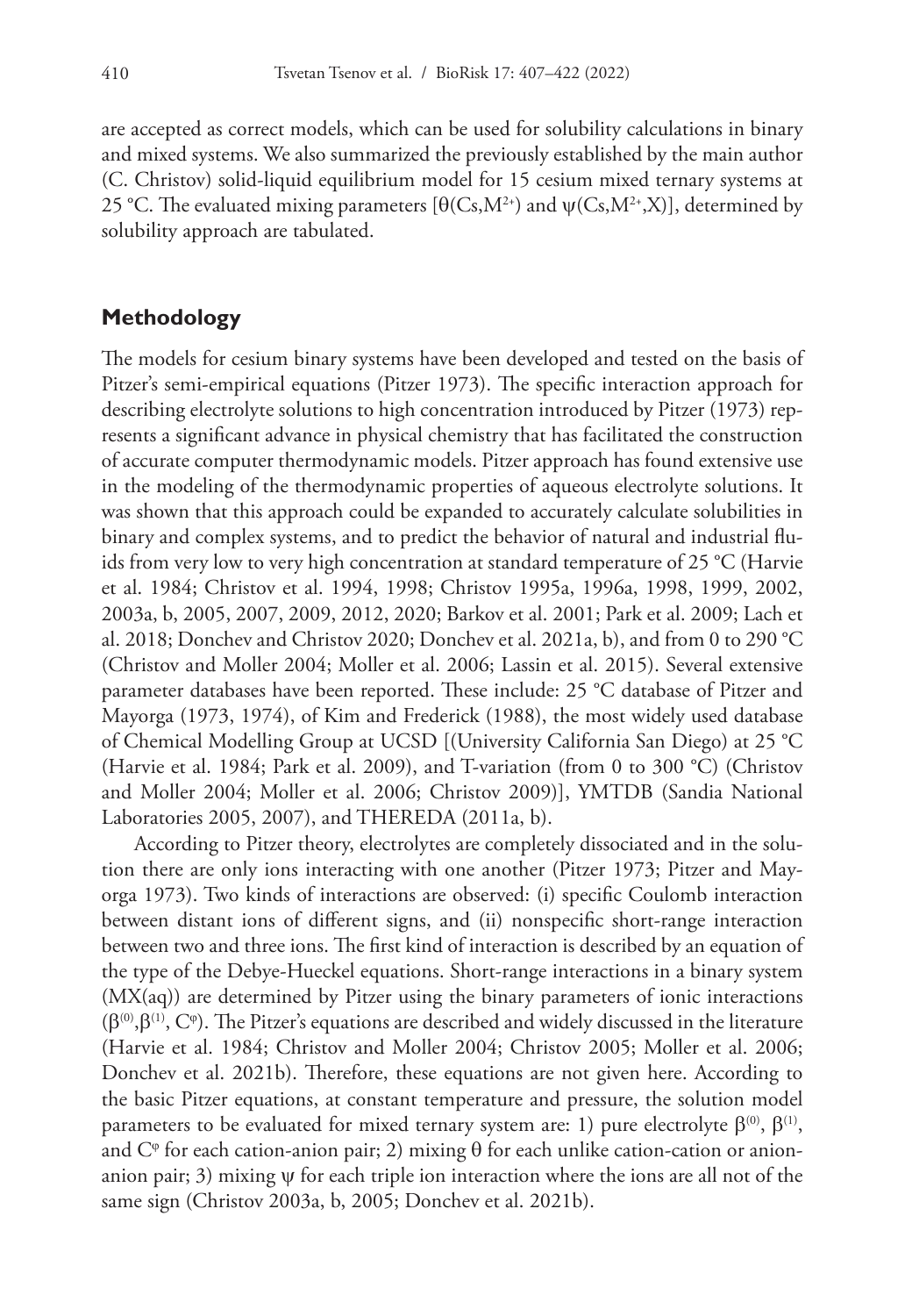are accepted as correct models, which can be used for solubility calculations in binary and mixed systems. We also summarized the previously established by the main author (C. Christov) solid-liquid equilibrium model for 15 cesium mixed ternary systems at 25 °C. The evaluated mixing parameters [θ(Cs,M<sup>2+</sup>) and  $ψ(Cs, M<sup>2+</sup>, X)$ ], determined by solubility approach are tabulated.

### **Methodology**

The models for cesium binary systems have been developed and tested on the basis of Pitzer's semi-empirical equations (Pitzer 1973). The specific interaction approach for describing electrolyte solutions to high concentration introduced by Pitzer (1973) represents a significant advance in physical chemistry that has facilitated the construction of accurate computer thermodynamic models. Pitzer approach has found extensive use in the modeling of the thermodynamic properties of aqueous electrolyte solutions. It was shown that this approach could be expanded to accurately calculate solubilities in binary and complex systems, and to predict the behavior of natural and industrial fluids from very low to very high concentration at standard temperature of 25 °C (Harvie et al. 1984; Christov et al. 1994, 1998; Christov 1995a, 1996a, 1998, 1999, 2002, 2003a, b, 2005, 2007, 2009, 2012, 2020; Barkov et al. 2001; Park et al. 2009; Lach et al. 2018; Donchev and Christov 2020; Donchev et al. 2021a, b), and from 0 to 290 °C (Christov and Moller 2004; Moller et al. 2006; Lassin et al. 2015). Several extensive parameter databases have been reported. These include: 25 °C database of Pitzer and Mayorga (1973, 1974), of Kim and Frederick (1988), the most widely used database of Chemical Modelling Group at UCSD [(University California San Diego) at 25 °C (Harvie et al. 1984; Park et al. 2009), and T-variation (from 0 to 300 °C) (Christov and Moller 2004; Moller et al. 2006; Christov 2009)], YMTDB (Sandia National Laboratories 2005, 2007), and THEREDA (2011a, b).

According to Pitzer theory, electrolytes are completely dissociated and in the solution there are only ions interacting with one another (Pitzer 1973; Pitzer and Mayorga 1973). Two kinds of interactions are observed: (i) specific Coulomb interaction between distant ions of different signs, and (ii) nonspecific short-range interaction between two and three ions. The first kind of interaction is described by an equation of the type of the Debye-Hueckel equations. Short-range interactions in a binary system (MX(aq)) are determined by Pitzer using the binary parameters of ionic interactions  $(\beta^{(0)}, \beta^{(1)}, \mathbf{C}^{\varphi})$ . The Pitzer's equations are described and widely discussed in the literature (Harvie et al. 1984; Christov and Moller 2004; Christov 2005; Moller et al. 2006; Donchev et al. 2021b). Therefore, these equations are not given here. According to the basic Pitzer equations, at constant temperature and pressure, the solution model parameters to be evaluated for mixed ternary system are: 1) pure electrolyte  $β^{(0)}$ ,  $β^{(1)}$ , and  $C^{\varphi}$  for each cation-anion pair; 2) mixing  $\theta$  for each unlike cation-cation or anionanion pair; 3) mixing  $\psi$  for each triple ion interaction where the ions are all not of the same sign (Christov 2003a, b, 2005; Donchev et al. 2021b).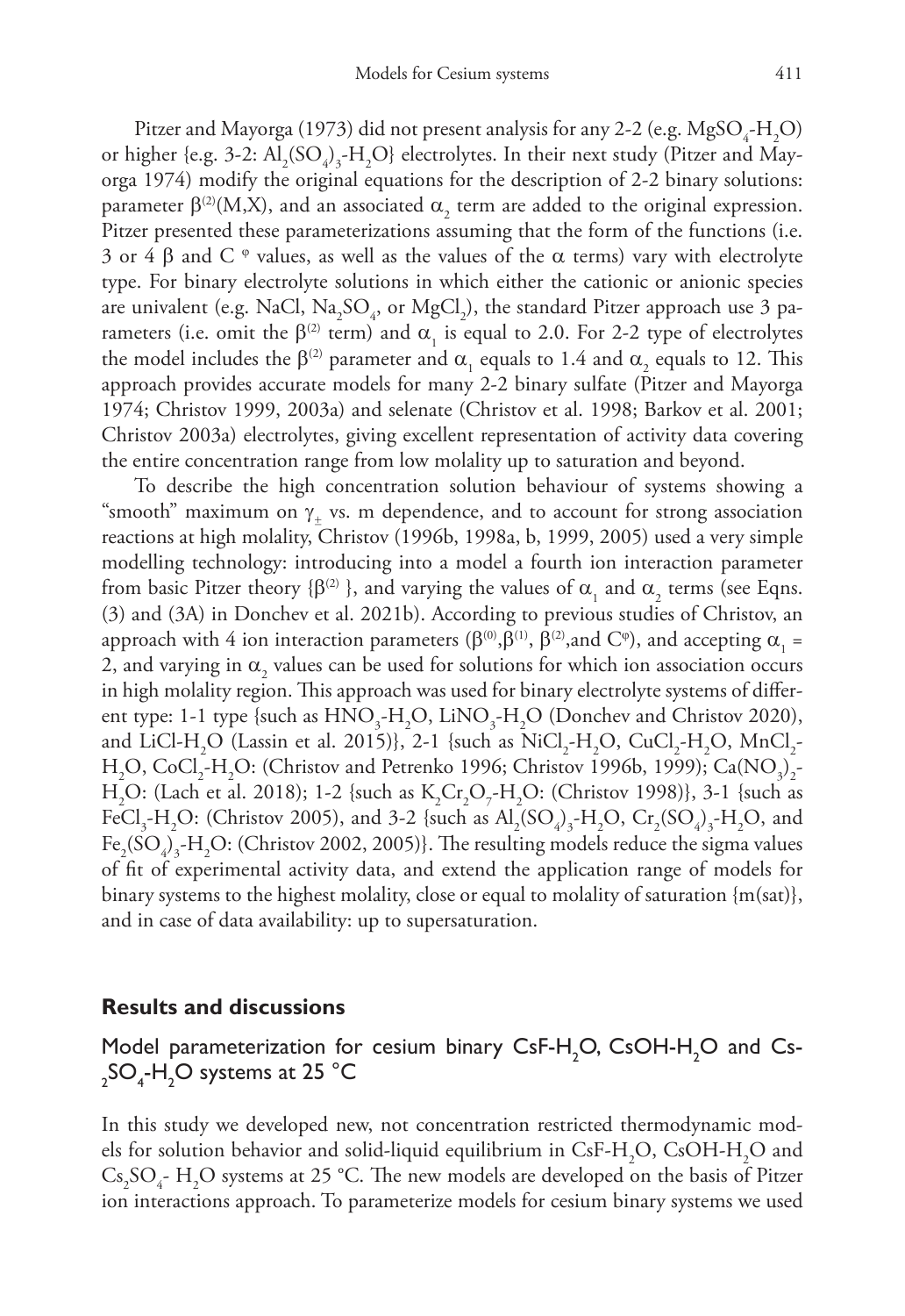Pitzer and Mayorga (1973) did not present analysis for any 2-2 (e.g.  $MgSO_{4}$ -H<sub>2</sub>O) or higher {e.g. 3-2:  $\text{Al}_2(\text{SO}_4)_3\text{-H}_2\text{O}$ } electrolytes. In their next study (Pitzer and Mayorga 1974) modify the original equations for the description of 2-2 binary solutions: parameter  $β^{(2)}(M,X)$ , and an associated  $α_2$  term are added to the original expression. Pitzer presented these parameterizations assuming that the form of the functions (i.e. 3 or 4 β and C  $\degree$  values, as well as the values of the  $\alpha$  terms) vary with electrolyte type. For binary electrolyte solutions in which either the cationic or anionic species are univalent (e.g. NaCl,  $\text{Na}_2\text{SO}_4$ , or  $\text{MgCl}_2$ ), the standard Pitzer approach use 3 parameters (i.e. omit the  $\beta^{(2)}$  term) and  $\alpha_1$  is equal to 2.0. For 2-2 type of electrolytes the model includes the β<sup>(2)</sup> parameter and  $\alpha_1$  equals to 1.4 and  $\alpha_2$  equals to 12. This approach provides accurate models for many 2-2 binary sulfate (Pitzer and Mayorga 1974; Christov 1999, 2003a) and selenate (Christov et al. 1998; Barkov et al. 2001; Christov 2003a) electrolytes, giving excellent representation of activity data covering the entire concentration range from low molality up to saturation and beyond.

To describe the high concentration solution behaviour of systems showing a "smooth" maximum on  $\gamma_+$  vs. m dependence, and to account for strong association reactions at high molality, Christov (1996b, 1998a, b, 1999, 2005) used a very simple modelling technology: introducing into a model a fourth ion interaction parameter from basic Pitzer theory {β<sup>(2)</sup> }, and varying the values of  $\alpha_1$  and  $\alpha_2$  terms (see Eqns. (3) and (3A) in Donchev et al. 2021b). According to previous studies of Christov, an approach with 4 ion interaction parameters (β<sup>(0)</sup>, β<sup>(1)</sup>, β<sup>(2)</sup>, and C<sup>φ</sup>), and accepting  $\alpha_1$  = 2, and varying in  $\alpha_{_2}$  values can be used for solutions for which ion association occurs in high molality region. This approach was used for binary electrolyte systems of different type: 1-1 type {such as  $\text{HNO}_3\text{-H}_2\text{O}$ , LiNO<sub>3</sub>-H<sub>2</sub>O (Donchev and Christov 2020), and LiCl-H<sub>2</sub>O (Lassin et al. 2015)}, 2-1 {such as  $\text{NiCl}_{2}$ -H<sub>2</sub>O, CuCl<sub>2</sub>-H<sub>2</sub>O, MnCl<sub>2</sub>-H<sub>2</sub>O, CoCl<sub>2</sub>-H<sub>2</sub>O: (Christov and Petrenko 1996; Christov 1996b, 1999); Ca(NO<sub>3</sub>)<sub>2</sub>-H<sub>2</sub>O: (Lach et al. 2018); 1-2 {such as K<sub>2</sub>Cr<sub>2</sub>O<sub>7</sub>-H<sub>2</sub>O: (Christov 1998)}, 3-1 {such as FeCl<sub>3</sub>-H<sub>2</sub>O: (Christov 2005), and 3-2 {such as  $Al_2(SO_4)_3$ -H<sub>2</sub>O, Cr<sub>2</sub>(SO<sub>4</sub>)<sub>3</sub>-H<sub>2</sub>O, and  $\text{Fe}_2(\text{SO}_4)_3\text{-H}_2\text{O}$ : (Christov 2002, 2005)}. The resulting models reduce the sigma values of fit of experimental activity data, and extend the application range of models for binary systems to the highest molality, close or equal to molality of saturation {m(sat)}, and in case of data availability: up to supersaturation.

### **Results and discussions**

Model parameterization for cesium binary  $\textsf{CsF-H}_{\textup{2}}\textsf{O}$ , CsOH-H<sub>2</sub>O and Cs- $_{2}$ SO<sub>4</sub>-H<sub>2</sub>O systems at 25 °C

In this study we developed new, not concentration restricted thermodynamic models for solution behavior and solid-liquid equilibrium in CsF-H<sub>2</sub>O, CsOH-H<sub>2</sub>O and  $Cs_{2}SO_{4}$ - H<sub>2</sub>O systems at 25 °C. The new models are developed on the basis of Pitzer ion interactions approach. To parameterize models for cesium binary systems we used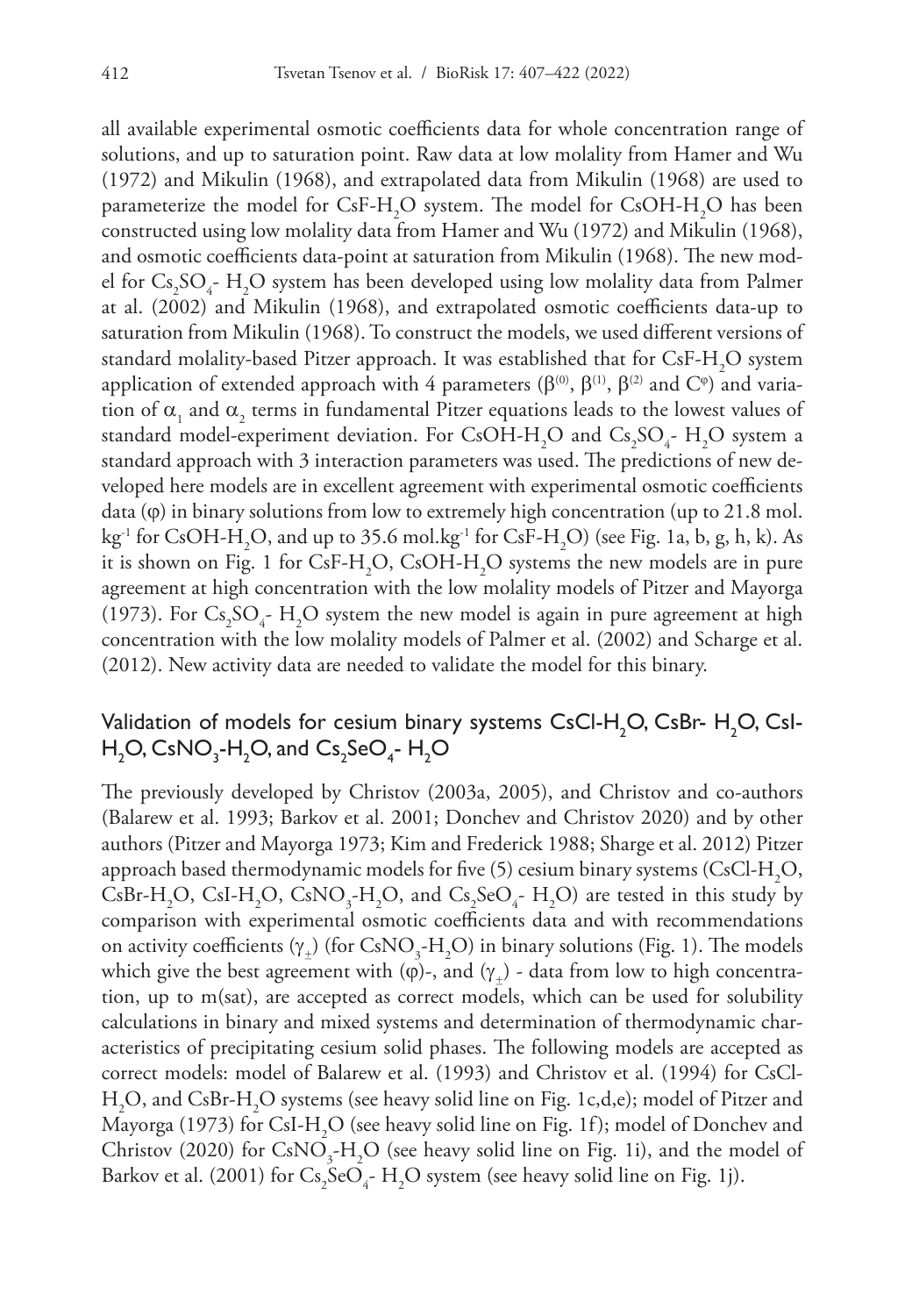all available experimental osmotic coefficients data for whole concentration range of solutions, and up to saturation point. Raw data at low molality from Hamer and Wu (1972) and Mikulin (1968), and extrapolated data from Mikulin (1968) are used to parameterize the model for  $CsF-H_2O$  system. The model for  $CsOH-H_2O$  has been constructed using low molality data from Hamer and Wu (1972) and Mikulin (1968), and osmotic coefficients data-point at saturation from Mikulin (1968). The new model for  $\text{Cs}_2\text{SO}_4$ - H<sub>2</sub>O system has been developed using low molality data from Palmer at al. (2002) and Mikulin (1968), and extrapolated osmotic coefficients data-up to saturation from Mikulin (1968). To construct the models, we used different versions of standard molality-based Pitzer approach. It was established that for  $\text{CsF-H}_2\text{O}$  system application of extended approach with 4 parameters ( $\beta^{(0)}$ ,  $\beta^{(1)}$ ,  $\beta^{(2)}$  and C<sup>φ</sup>) and variation of  $\alpha_{_1}$  and  $\alpha_{_2}$  terms in fundamental Pitzer equations leads to the lowest values of standard model-experiment deviation. For CsOH-H<sub>2</sub>O and Cs<sub>2</sub>SO<sub>4</sub>-H<sub>2</sub>O system a standard approach with 3 interaction parameters was used. The predictions of new developed here models are in excellent agreement with experimental osmotic coefficients data  $(\varphi)$  in binary solutions from low to extremely high concentration (up to 21.8 mol. kg<sup>-1</sup> for CsOH-H<sub>2</sub>O, and up to 35.6 mol.kg<sup>-1</sup> for CsF-H<sub>2</sub>O) (see Fig. 1a, b, g, h, k). As it is shown on Fig. 1 for CsF-H<sub>2</sub>O, CsOH-H<sub>2</sub>O systems the new models are in pure agreement at high concentration with the low molality models of Pitzer and Mayorga (1973). For  $Cs_2SO_4$ - H<sub>2</sub>O system the new model is again in pure agreement at high concentration with the low molality models of Palmer et al. (2002) and Scharge et al. (2012). New activity data are needed to validate the model for this binary.

### Validation of models for cesium binary systems  $\mathsf{CsCl}\text{-}\mathsf{H}_{2}\mathsf{O}, \mathsf{CsBr}\text{-}\mathsf{H}_{2}\mathsf{O}, \mathsf{CsI}\text{-}$  $\mathsf{H}_2\mathsf{O}, \mathsf{CsNO}_3\text{-}\mathsf{H}_2\mathsf{O}, \mathsf{and}$   $\mathsf{Cs}_2\mathsf{SeO}_4\text{-}\mathsf{H}_2\mathsf{O}$

The previously developed by Christov (2003a, 2005), and Christov and co-authors (Balarew et al. 1993; Barkov et al. 2001; Donchev and Christov 2020) and by other authors (Pitzer and Mayorga 1973; Kim and Frederick 1988; Sharge et al. 2012) Pitzer approach based thermodynamic models for five (5) cesium binary systems (CsCl-H<sub>2</sub>O, CsBr-H<sub>2</sub>O, CsI-H<sub>2</sub>O, CsNO<sub>3</sub>-H<sub>2</sub>O, and Cs<sub>2</sub>SeO<sub>4</sub>-H<sub>2</sub>O) are tested in this study by comparison with experimental osmotic coefficients data and with recommendations on activity coefficients ( $\gamma_{\pm}$ ) (for CsNO<sub>3</sub>-H<sub>2</sub>O) in binary solutions (Fig. 1). The models which give the best agreement with ( $\varphi$ )-, and ( $\gamma_{+}$ ) - data from low to high concentration, up to m(sat), are accepted as correct models, which can be used for solubility calculations in binary and mixed systems and determination of thermodynamic characteristics of precipitating cesium solid phases. The following models are accepted as correct models: model of Balarew et al. (1993) and Christov et al. (1994) for CsCl-H2 O, and CsBr-H2 O systems (see heavy solid line on Fig. 1c,d,e); model of Pitzer and Mayorga (1973) for CsI-H<sub>2</sub>O (see heavy solid line on Fig. 1f); model of Donchev and Christov (2020) for  $\text{CsNO}_3\text{-H}_2\text{O}$  (see heavy solid line on Fig. 1i), and the model of Barkov et al. (2001) for  $\text{Cs}_2\text{SeO}_4\text{-H}_2\text{O}$  system (see heavy solid line on Fig. 1j).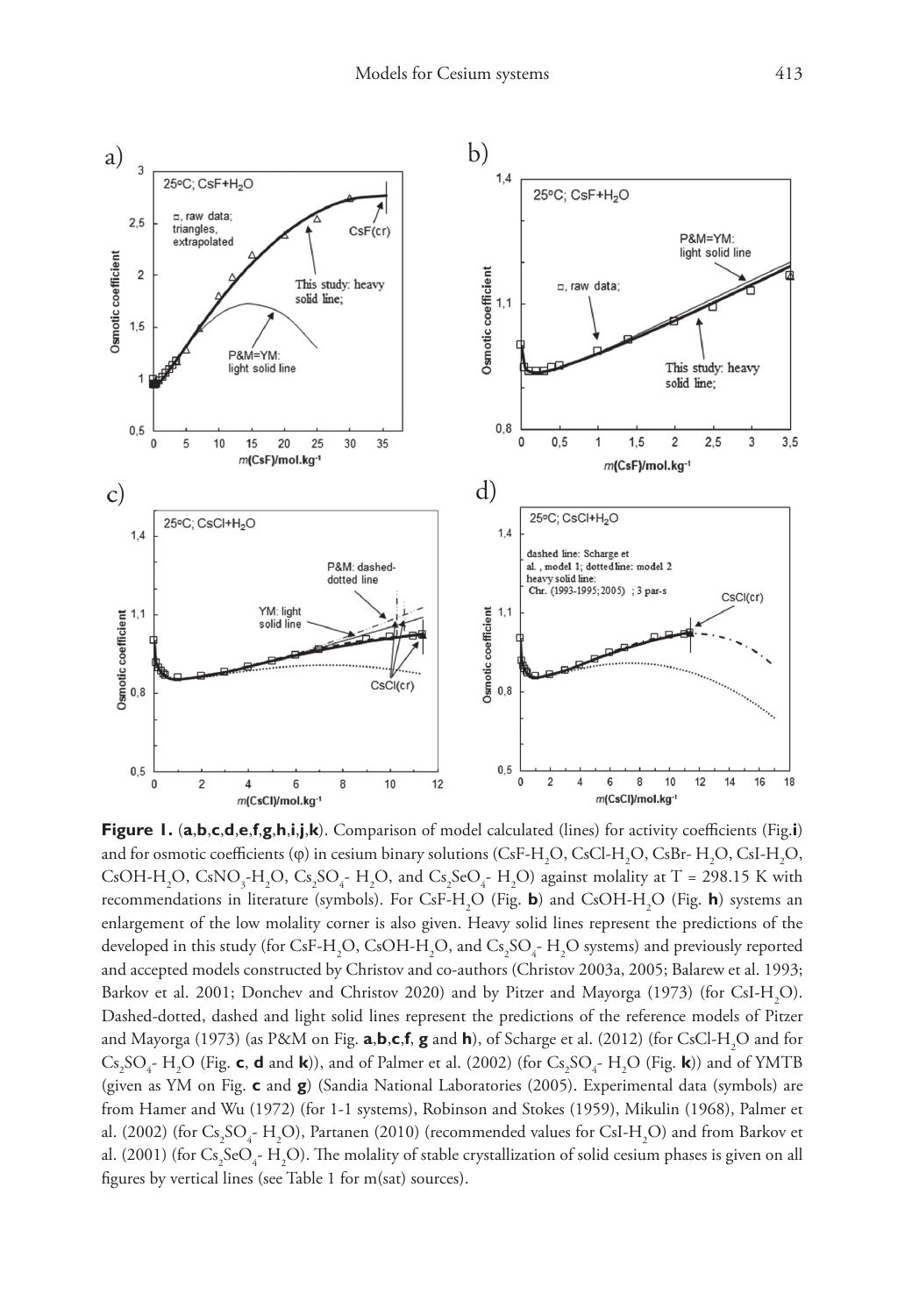

**Figure 1.** (**a**,**b**,**c**,**d**,**e**,**f**,**g**,**h**,**i**,**j**,**k**). Comparison of model calculated (lines) for activity coefficients (Fig.**i**) and for osmotic coefficients (φ) in cesium binary solutions (CsF-H<sub>2</sub>O, CsCl-H<sub>2</sub>O, CsBr- H<sub>2</sub>O, CsI-H<sub>2</sub>O, CsOH-H<sub>2</sub>O, CsNO<sub>3</sub>-H<sub>2</sub>O, Cs<sub>2</sub>SO<sub>4</sub>-H<sub>2</sub>O, and Cs<sub>2</sub>SeO<sub>4</sub>-H<sub>2</sub>O) against molality at T = 298.15 K with recommendations in literature (symbols). For CsF-H2 O (Fig. **b**) and CsOH-H2 O (Fig. **h**) systems an enlargement of the low molality corner is also given. Heavy solid lines represent the predictions of the developed in this study (for CsF-H<sub>2</sub>O, CsOH-H<sub>2</sub>O, and Cs<sub>2</sub>SO<sub>4</sub>-H<sub>2</sub>O systems) and previously reported and accepted models constructed by Christov and co-authors (Christov 2003a, 2005; Balarew et al. 1993; Barkov et al. 2001; Donchev and Christov 2020) and by Pitzer and Mayorga (1973) (for CsI-H<sub>2</sub>O). Dashed-dotted, dashed and light solid lines represent the predictions of the reference models of Pitzer and Mayorga (1973) (as P&M on Fig. **a,b,c,f, g** and **h**), of Scharge et al. (2012) (for CsCl-H<sub>2</sub>O and for  $Cs_2SO_4$ - H<sub>2</sub>O (Fig. **c**, **d** and **k**)), and of Palmer et al. (2002) (for  $Cs_2SO_4$ - H<sub>2</sub>O (Fig. **k**)) and of YMTB (given as YM on Fig. **c** and **g**) (Sandia National Laboratories (2005). Experimental data (symbols) are from Hamer and Wu (1972) (for 1-1 systems), Robinson and Stokes (1959), Mikulin (1968), Palmer et al. (2002) (for  $\text{Cs}_2\text{SO}_4\text{-H}_2\text{O}$ ), Partanen (2010) (recommended values for CsI-H<sub>2</sub>O) and from Barkov et al. (2001) (for  $\text{Cs}_2\text{SeO}_4\text{-H}_2\text{O}$ ). The molality of stable crystallization of solid cesium phases is given on all figures by vertical lines (see Table 1 for m(sat) sources).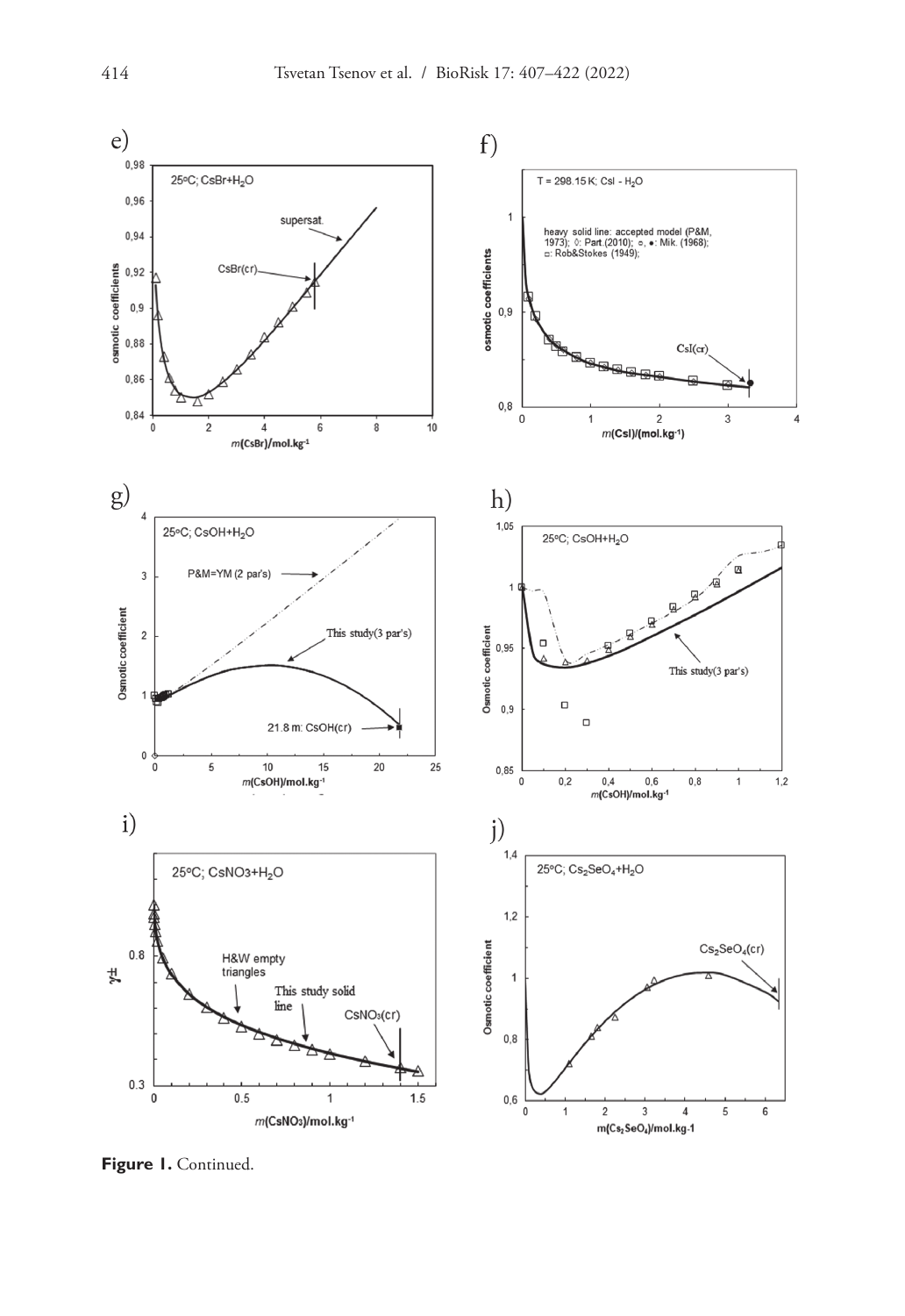

**Figure 1.** Continued.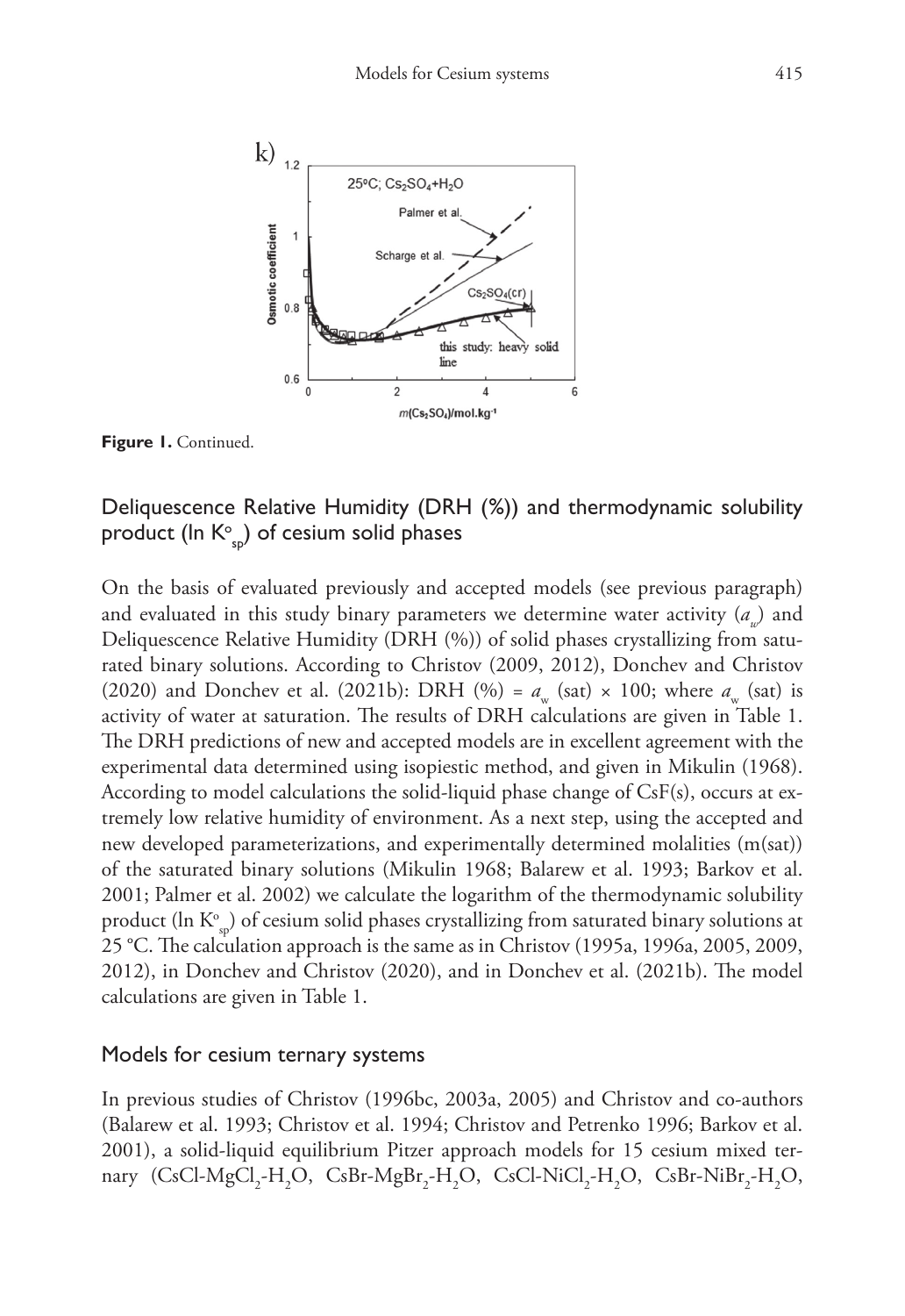

**Figure 1.** Continued.

## Deliquescence Relative Humidity (DRH (%)) and thermodynamic solubility product (In  $\mathsf{K}^\circ_{\mathsf{sp}}$ ) of cesium solid phases

On the basis of evaluated previously and accepted models (see previous paragraph) and evaluated in this study binary parameters we determine water activity  $(a<sub>n</sub>)$  and Deliquescence Relative Humidity (DRH (%)) of solid phases crystallizing from saturated binary solutions. According to Christov (2009, 2012), Donchev and Christov (2020) and Donchev et al. (2021b): DRH (%) =  $a_w$  (sat) × 100; where  $a_w$  (sat) is activity of water at saturation. The results of DRH calculations are given in Table 1. The DRH predictions of new and accepted models are in excellent agreement with the experimental data determined using isopiestic method, and given in Mikulin (1968). According to model calculations the solid-liquid phase change of  $CsF(s)$ , occurs at extremely low relative humidity of environment. As a next step, using the accepted and new developed parameterizations, and experimentally determined molalities (m(sat)) of the saturated binary solutions (Mikulin 1968; Balarew et al. 1993; Barkov et al. 2001; Palmer et al. 2002) we calculate the logarithm of the thermodynamic solubility product (ln  $\mathrm{K}^\circ_\mathrm{sp}$ ) of cesium solid phases crystallizing from saturated binary solutions at 25 °C. The calculation approach is the same as in Christov (1995a, 1996a, 2005, 2009, 2012), in Donchev and Christov (2020), and in Donchev et al. (2021b). The model calculations are given in Table 1.

### Models for cesium ternary systems

In previous studies of Christov (1996bc, 2003a, 2005) and Christov and co-authors (Balarew et al. 1993; Christov et al. 1994; Christov and Petrenko 1996; Barkov et al. 2001), a solid-liquid equilibrium Pitzer approach models for 15 cesium mixed ternary (CsCl-MgCl<sub>2</sub>-H<sub>2</sub>O, CsBr-MgBr<sub>2</sub>-H<sub>2</sub>O, CsCl-NiCl<sub>2</sub>-H<sub>2</sub>O, CsBr-NiBr<sub>2</sub>-H<sub>2</sub>O,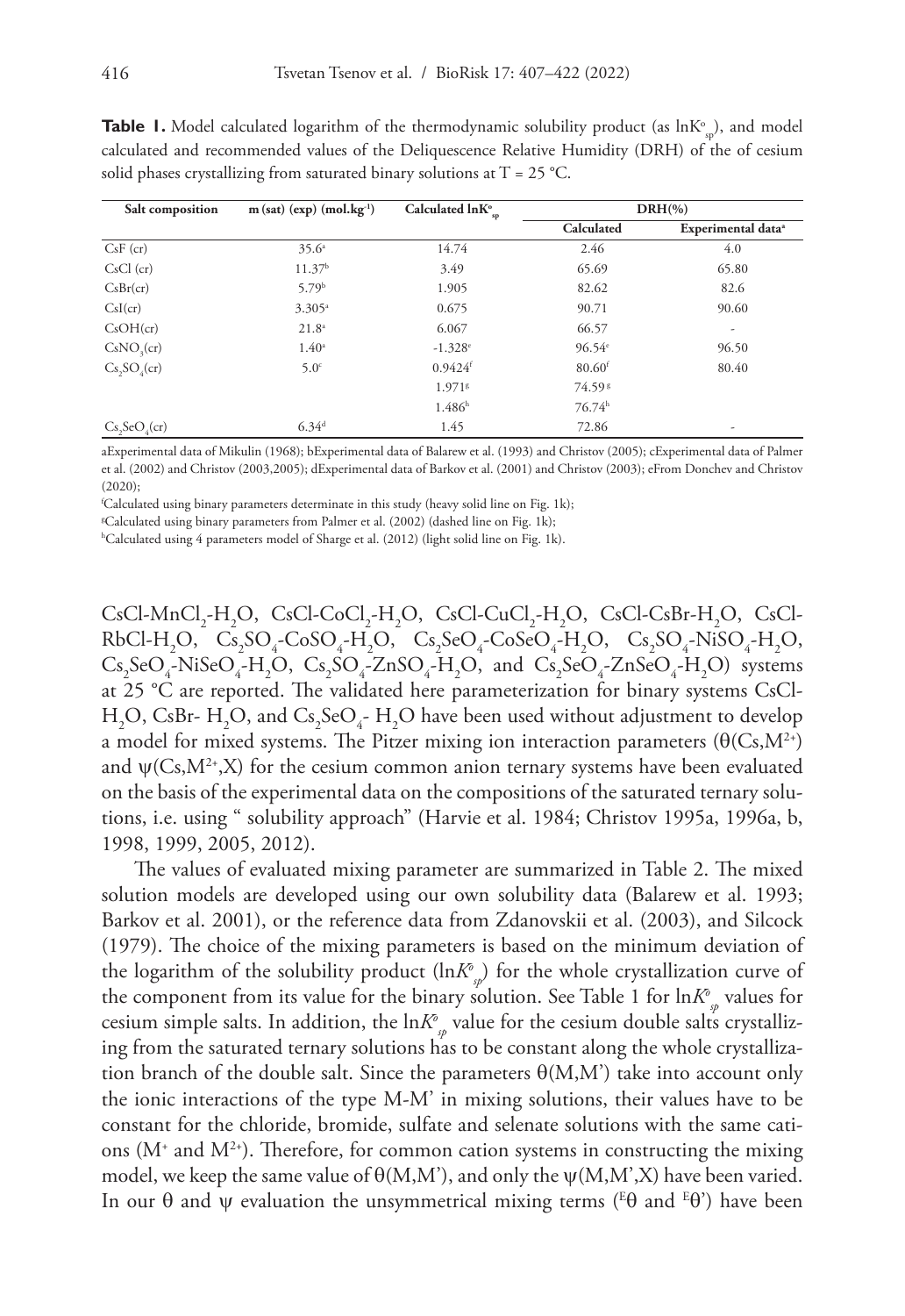| Salt composition       | $m(sat)$ (exp) (mol.kg <sup>-1</sup> ) | Calculated $ln K^\circ_{\text{sp}}$ |                      | $DRH(\% )$                     |
|------------------------|----------------------------------------|-------------------------------------|----------------------|--------------------------------|
|                        |                                        |                                     | Calculated           | Experimental data <sup>ª</sup> |
| $CsF$ (cr)             | $35.6^{\circ}$                         | 14.74                               | 2.46                 | 4.0                            |
| $CsCl$ (cr)            | 11.37 <sup>b</sup>                     | 3.49                                | 65.69                | 65.80                          |
| CsBr(cr)               | 5.79b                                  | 1.905                               | 82.62                | 82.6                           |
| CsI(cr)                | $3.305^{\circ}$                        | 0.675                               | 90.71                | 90.60                          |
| CsOH (cr)              | $21.8^{\circ}$                         | 6.067                               | 66.57                | ۰                              |
| CsNO <sub>3</sub> (cr) | $1.40^{\circ}$                         | $-1.328$ <sup>e</sup>               | 96.54e               | 96.50                          |
| $Cs, SO_4$ (cr)        | $5.0^\circ$                            | $0.9424$ <sup>f</sup>               | $80.60$ <sup>f</sup> | 80.40                          |
|                        |                                        | 1.9718                              | 74.598               |                                |
|                        |                                        | $1.486^{h}$                         | 76.74 <sup>h</sup>   |                                |
| $Cs, SeO_2$ (cr)       | $6.34^{d}$                             | 1.45                                | 72.86                | ۰                              |

**Table 1.** Model calculated logarithm of the thermodynamic solubility product (as lnK°<sub>sp</sub>), and model calculated and recommended values of the Deliquescence Relative Humidity (DRH) of the of cesium solid phases crystallizing from saturated binary solutions at  $T = 25$  °C.

aExperimental data of Mikulin (1968); bExperimental data of Balarew et al. (1993) and Christov (2005); cExperimental data of Palmer et al. (2002) and Christov (2003,2005); dExperimental data of Barkov et al. (2001) and Christov (2003); eFrom Donchev and Christov  $(2020)$ 

f Calculated using binary parameters determinate in this study (heavy solid line on Fig. 1k);

g Calculated using binary parameters from Palmer et al. (2002) (dashed line on Fig. 1k);

h Calculated using 4 parameters model of Sharge et al. (2012) (light solid line on Fig. 1k).

 $CsCl-MnCl<sub>2</sub>-H<sub>2</sub>O$ ,  $CsCl-CoCl<sub>2</sub>-H<sub>2</sub>O$ ,  $CsCl-CuCl<sub>2</sub>-H<sub>2</sub>O$ ,  $CsCl-CsBr-H<sub>2</sub>O$ ,  $CsCl-CuCl<sub>2</sub>-H<sub>2</sub>O$  $RbCl-H_2O$ ,  $Cs_2SO_4$ - $CoSO_4$ - $H_2O$ ,  $Cs_2SeO_4$ - $CoSeO_4$ - $H_2O$ ,  $Cs_2SO_4$ - $NiSO_4$ - $H_2O$ ,  $Cs_2SeO_4-NiSeO_4-H_2O$ ,  $Cs_2SO_4-ZnSO_4-H_2O$ , and  $Cs_2SeO_4-ZnSeO_4-H_2O$ ) systems at 25 °C are reported. The validated here parameterization for binary systems CsCl- $\rm H_2O$ , CsBr-  $\rm H_2O$ , and Cs<sub>2</sub>SeO<sub>4</sub>-  $\rm H_2O$  have been used without adjustment to develop a model for mixed systems. The Pitzer mixing ion interaction parameters  $(\theta(Cs,M^2))$ and  $\psi(Cs, M^{2*}, X)$  for the cesium common anion ternary systems have been evaluated on the basis of the experimental data on the compositions of the saturated ternary solutions, i.e. using " solubility approach" (Harvie et al. 1984; Christov 1995a, 1996a, b, 1998, 1999, 2005, 2012).

The values of evaluated mixing parameter are summarized in Table 2. The mixed solution models are developed using our own solubility data (Balarew et al. 1993; Barkov et al. 2001), or the reference data from Zdanovskii et al. (2003), and Silcock (1979). The choice of the mixing parameters is based on the minimum deviation of the logarithm of the solubility product (ln*K*<sup>o</sup><sub>s</sub>) for the whole crystallization curve of the component from its value for the binary solution. See Table 1 for  $\ln K_{\tiny{\mathcal{P}}}^{\!\circ}$  values for cesium simple salts. In addition, the  $\ln\!K^o_{\phantom{\sigma}p}$  value for the cesium double salts crystallizing from the saturated ternary solutions has to be constant along the whole crystallization branch of the double salt. Since the parameters  $\Theta(M,M')$  take into account only the ionic interactions of the type M-M' in mixing solutions, their values have to be constant for the chloride, bromide, sulfate and selenate solutions with the same cations  $(M^*$  and  $M^{2*}$ ). Therefore, for common cation systems in constructing the mixing model, we keep the same value of  $\Theta(M,M')$ , and only the  $\psi(M,M',X)$  have been varied. In our  $\theta$  and  $\psi$  evaluation the unsymmetrical mixing terms (E $\theta$  and E $\theta$ ) have been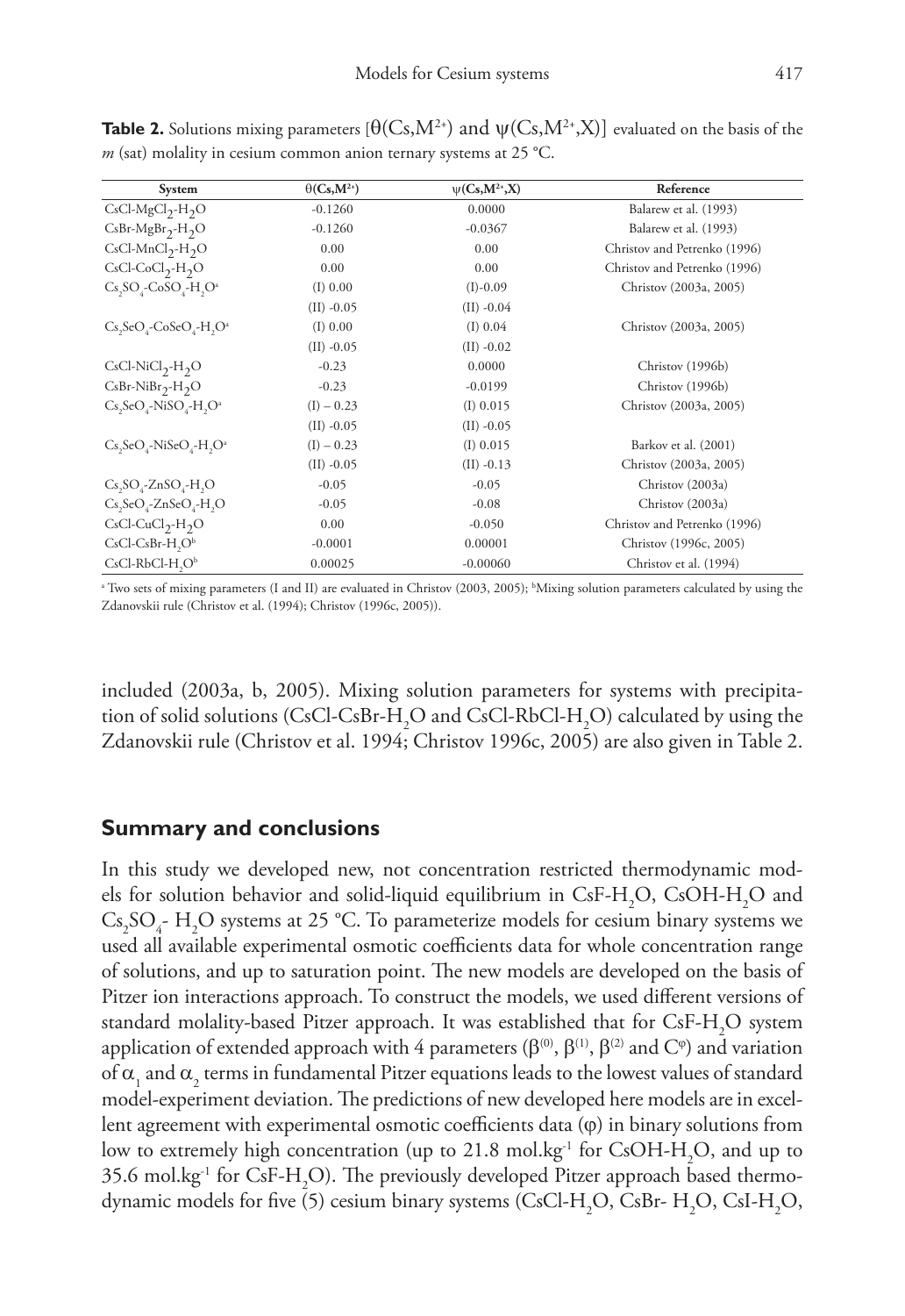| System                                                                              | $\Theta(C_{s},M^{2})$ | $\psi(Cs, M^{2*}, X)$ | Reference                    |
|-------------------------------------------------------------------------------------|-----------------------|-----------------------|------------------------------|
| $CsCl-MgCl2-H2O$                                                                    | $-0.1260$             | 0.0000                | Balarew et al. (1993)        |
| $CsBr-MgBr2-H2O$                                                                    | $-0.1260$             | $-0.0367$             | Balarew et al. (1993)        |
| $CsCl-MnCl2-H2O$                                                                    | 0.00                  | 0.00                  | Christov and Petrenko (1996) |
| $CsCl-CoCl2-H2O$                                                                    | 0.00                  | 0.00                  | Christov and Petrenko (1996) |
| $Cs, SOa-CoSOa-H, Oa$                                                               | $(I)$ 0.00            | $(I)-0.09$            | Christov (2003a, 2005)       |
|                                                                                     | $(II) -0.05$          | $(II) -0.04$          |                              |
| $Cs, SeO,$ - $CoSeO,$ - $H, O^a$                                                    | $(I)$ 0.00            | $(I)$ 0.04            | Christov (2003a, 2005)       |
|                                                                                     | $(II) -0.05$          | $(II) -0.02$          |                              |
| $CsCl-NiCl2-H2O$                                                                    | $-0.23$               | 0.0000                | Christov (1996b)             |
| $CsBr-NiBr2-H2O$                                                                    | $-0.23$               | $-0.0199$             | Christov (1996b)             |
| $Cs, SeO, -NiSO, -H, Oa$                                                            | $(I) - 0.23$          | $(I)$ 0.015           | Christov (2003a, 2005)       |
|                                                                                     | $(II) -0.05$          | $(II) -0.05$          |                              |
| Cs <sub>2</sub> SeO <sub>c</sub> -NiSeO <sub>c</sub> -H <sub>2</sub> O <sup>a</sup> | $(I) - 0.23$          | $(I)$ 0.015           | Barkov et al. (2001)         |
|                                                                                     | $(II) -0.05$          | $(II) -0.13$          | Christov (2003a, 2005)       |
| $Cs$ , $SO$ <sub>s</sub> - $ZnSO$ <sub>s</sub> - $H$ <sub>,</sub> $O$               | $-0.05$               | $-0.05$               | Christov (2003a)             |
| $Cs, SeO, ZnSeO, -H, O$                                                             | $-0.05$               | $-0.08$               | Christov (2003a)             |
| $CsCl-CuCl2-H2O$                                                                    | 0.00                  | $-0.050$              | Christov and Petrenko (1996) |
| $CsCl-CsBr-H2Ob$                                                                    | $-0.0001$             | 0.00001               | Christov (1996c, 2005)       |
| $CsCl-RbCl-H, Ob$                                                                   | 0.00025               | $-0.00060$            | Christov et al. (1994)       |

**Table 2.** Solutions mixing parameters  $[\Theta(Cs, M^{2+})$  and  $\psi(Cs, M^{2+}, X)]$  evaluated on the basis of the *m* (sat) molality in cesium common anion ternary systems at 25 °C.

a Two sets of mixing parameters (I and II) are evaluated in Christov (2003, 2005); b Mixing solution parameters calculated by using the Zdanovskii rule (Christov et al. (1994); Christov (1996c, 2005)).

included (2003a, b, 2005). Mixing solution parameters for systems with precipitation of solid solutions (CsCl-CsBr-H<sub>2</sub>O and CsCl-RbCl-H<sub>2</sub>O) calculated by using the Zdanovskii rule (Christov et al. 1994; Christov 1996c, 2005) are also given in Table 2.

### **Summary and conclusions**

In this study we developed new, not concentration restricted thermodynamic models for solution behavior and solid-liquid equilibrium in  $\text{CsF-H}_2\text{O}$ ,  $\text{CsOH-H}_2\text{O}$  and  $Cs_2SO_4$ - H<sub>2</sub>O systems at 25 °C. To parameterize models for cesium binary systems we used all available experimental osmotic coefficients data for whole concentration range of solutions, and up to saturation point. The new models are developed on the basis of Pitzer ion interactions approach. To construct the models, we used different versions of standard molality-based Pitzer approach. It was established that for  $\text{CsF-H}_{\text{2}}\text{O}$  system application of extended approach with 4 parameters ( $\beta^{(0)}$ ,  $\beta^{(1)}$ ,  $\beta^{(2)}$  and  $C^{\varphi}$ ) and variation of  $\alpha_{_1}$  and  $\alpha_{_2}$  terms in fundamental Pitzer equations leads to the lowest values of standard model-experiment deviation. The predictions of new developed here models are in excellent agreement with experimental osmotic coefficients data (ϕ) in binary solutions from low to extremely high concentration (up to  $21.8 \text{ mol} \cdot \text{kg}^{-1}$  for CsOH-H<sub>2</sub>O, and up to 35.6 mol.kg $\text{ }^{\text{-1}}$  for CsF-H<sub>2</sub>O). The previously developed Pitzer approach based thermodynamic models for five (5) cesium binary systems (CsCl-H<sub>2</sub>O, CsBr- H<sub>2</sub>O, CsI-H<sub>2</sub>O,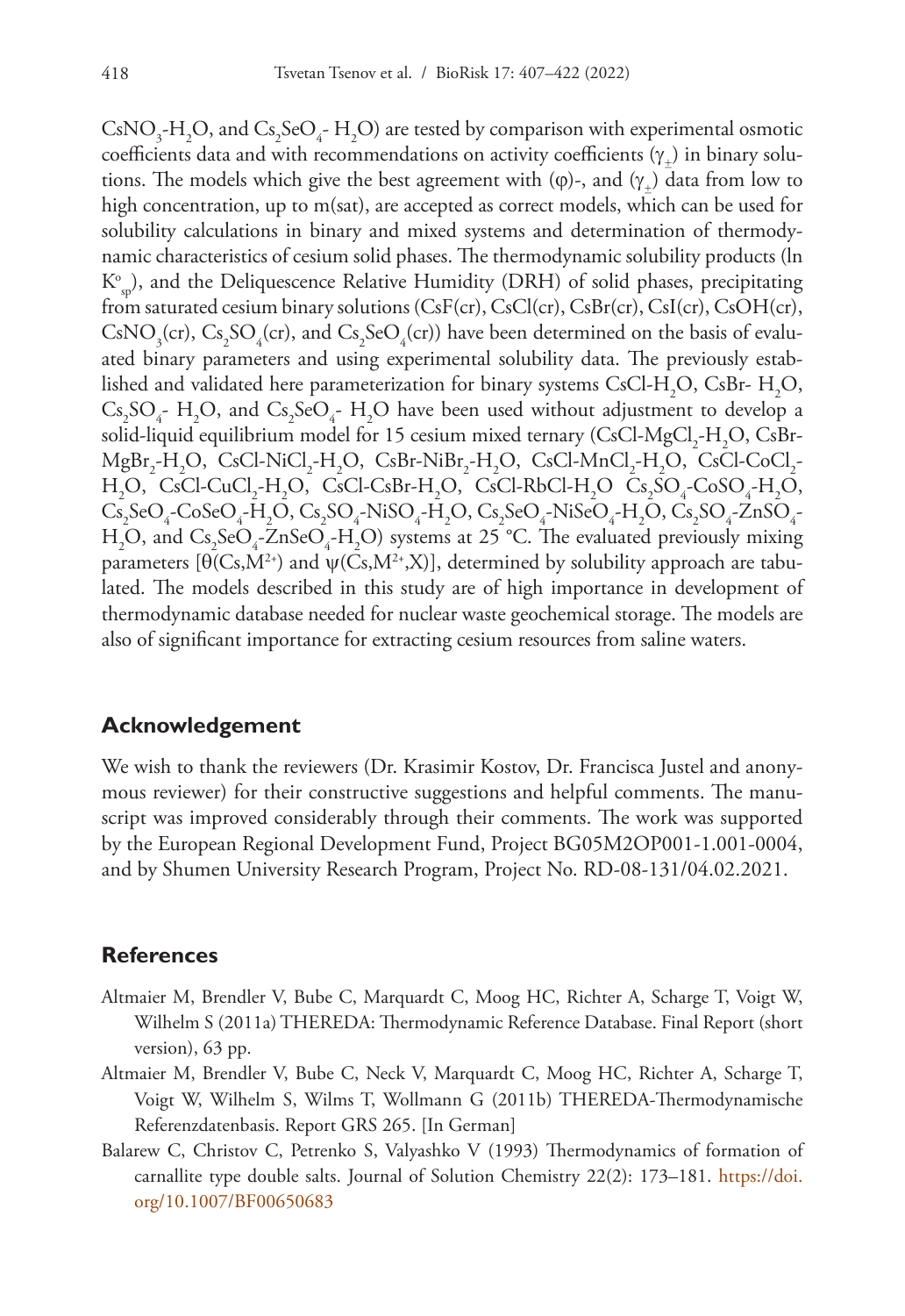CsNO<sub>3</sub>-H<sub>2</sub>O, and Cs<sub>2</sub>SeO<sub>4</sub>-H<sub>2</sub>O) are tested by comparison with experimental osmotic coefficients data and with recommendations on activity coefficients  $(\gamma_+)$  in binary solutions. The models which give the best agreement with ( $\varphi$ )-, and  $(\gamma_{\perp})$  data from low to high concentration, up to m(sat), are accepted as correct models, which can be used for solubility calculations in binary and mixed systems and determination of thermodynamic characteristics of cesium solid phases. The thermodynamic solubility products (ln  $\mathrm{K}^\circ_{\mathrm{sp}}$ ), and the Deliquescence Relative Humidity (DRH) of solid phases, precipitating from saturated cesium binary solutions (CsF(cr), CsCl(cr), CsBr(cr), CsI(cr), CsOH(cr),  $\text{CsNO}_3(\text{cr})$ ,  $\text{Cs}_2\text{SO}_4(\text{cr})$ , and  $\text{Cs}_2\text{SeO}_4(\text{cr})$ ) have been determined on the basis of evaluated binary parameters and using experimental solubility data. The previously established and validated here parameterization for binary systems CsCl-H<sub>2</sub>O, CsBr- H<sub>2</sub>O,  $Cs_2SO_4$ - H<sub>2</sub>O, and  $Cs_2SeO_4$ - H<sub>2</sub>O have been used without adjustment to develop a solid-liquid equilibrium model for 15 cesium mixed ternary (CsCl-MgCl<sub>2</sub>-H<sub>2</sub>O, CsBr- $MgBr_2-H_2O$ , CsCl-NiCl<sub>2</sub>-H<sub>2</sub>O, CsBr-NiBr<sub>2</sub>-H<sub>2</sub>O, CsCl-MnCl<sub>2</sub>-H<sub>2</sub>O, CsCl-CoCl<sub>2</sub>- $H_2O$ , CsCl-CuCl<sub>2</sub>-H<sub>2</sub>O, CsCl-CsBr-H<sub>2</sub>O, CsCl-RbCl-H<sub>2</sub>O Cs<sub>2</sub>SO<sub>4</sub>-CoSO<sub>4</sub>-H<sub>2</sub>O,  $\text{Cs}_2\text{SeO}_4\text{-}\text{CoSeO}_4\text{-}H_2\text{O}$ ,  $\text{Cs}_2\text{SO}_4\text{-}\text{NiSO}_4\text{-}H_2\text{O}$ ,  $\text{Cs}_2\text{SeO}_4\text{-}\text{NiSeO}_4\text{-}H_2\text{O}$ ,  $\text{Cs}_2\text{SO}_4\text{-} \text{ZnSO}_4\text{-}$  $H_2O$ , and  $Cs_2SeO_4$ -ZnSe $O_4$ - $H_2O$ ) systems at 25 °C. The evaluated previously mixing parameters  $[\Theta(Cs, M^{2+})$  and  $\psi(Cs, M^{2+}, X)]$ , determined by solubility approach are tabulated. The models described in this study are of high importance in development of thermodynamic database needed for nuclear waste geochemical storage. The models are also of significant importance for extracting cesium resources from saline waters.

### **Acknowledgement**

We wish to thank the reviewers (Dr. Krasimir Kostov, Dr. Francisca Justel and anonymous reviewer) for their constructive suggestions and helpful comments. The manuscript was improved considerably through their comments. The work was supported by the European Regional Development Fund, Project BG05M2OP001-1.001-0004, and by Shumen University Research Program, Project No. RD-08-131/04.02.2021.

### **References**

- Altmaier M, Brendler V, Bube C, Marquardt C, Moog HC, Richter A, Scharge T, Voigt W, Wilhelm S (2011a) THEREDA: Thermodynamic Reference Database. Final Report (short version), 63 pp.
- Altmaier M, Brendler V, Bube C, Neck V, Marquardt C, Moog HC, Richter A, Scharge T, Voigt W, Wilhelm S, Wilms T, Wollmann G (2011b) THEREDA-Thermodynamische Referenzdatenbasis. Report GRS 265. [In German]
- Balarew C, Christov C, Petrenko S, Valyashko V (1993) Thermodynamics of formation of carnallite type double salts. Journal of Solution Chemistry 22(2): 173–181. [https://doi.](https://doi.org/10.1007/BF00650683) [org/10.1007/BF00650683](https://doi.org/10.1007/BF00650683)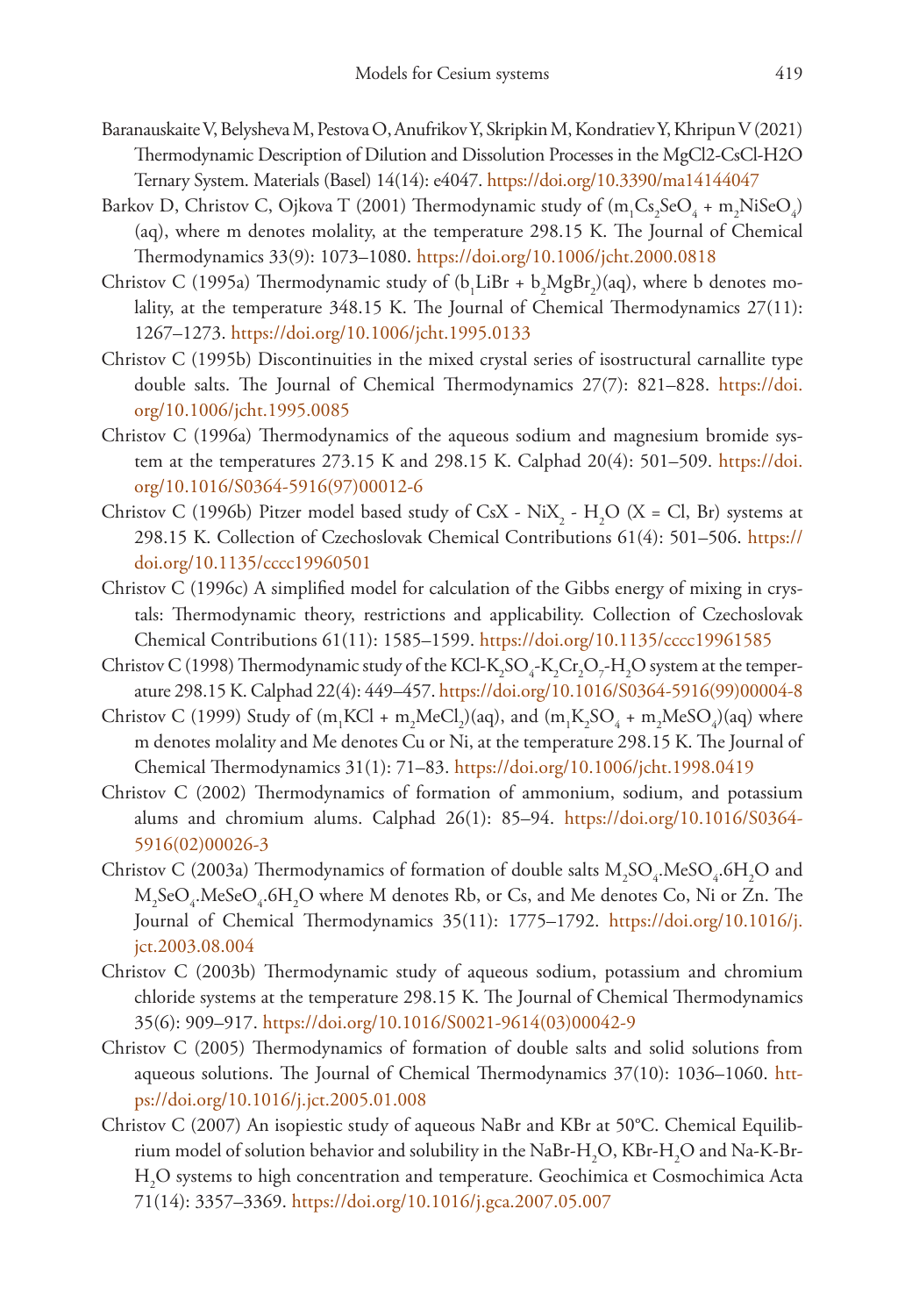- Baranauskaite V, Belysheva M, Pestova O, Anufrikov Y, Skripkin M, Kondratiev Y, Khripun V (2021) Thermodynamic Description of Dilution and Dissolution Processes in the MgCl2-CsCl-H2O Ternary System. Materials (Basel) 14(14): e4047.<https://doi.org/10.3390/ma14144047>
- Barkov D, Christov C, Ojkova T (2001) Thermodynamic study of (m<sub>1</sub>Cs<sub>2</sub>SeO<sub>4</sub> + m<sub>2</sub>NiSeO<sub>4</sub>) (aq), where m denotes molality, at the temperature 298.15 K. The Journal of Chemical Thermodynamics 33(9): 1073–1080.<https://doi.org/10.1006/jcht.2000.0818>
- Christov C (1995a) Thermodynamic study of  $(b_1LiBr + b_2MgBr_2)(aq)$ , where b denotes molality, at the temperature 348.15 K. The Journal of Chemical Thermodynamics 27(11): 1267–1273.<https://doi.org/10.1006/jcht.1995.0133>
- Christov C (1995b) Discontinuities in the mixed crystal series of isostructural carnallite type double salts. The Journal of Chemical Thermodynamics 27(7): 821–828. [https://doi.](https://doi.org/10.1006/jcht.1995.0085) [org/10.1006/jcht.1995.0085](https://doi.org/10.1006/jcht.1995.0085)
- Christov C (1996a) Thermodynamics of the aqueous sodium and magnesium bromide system at the temperatures 273.15 K and 298.15 K. Calphad 20(4): 501–509. [https://doi.](https://doi.org/10.1016/S0364-5916(97)00012-6) [org/10.1016/S0364-5916\(97\)00012-6](https://doi.org/10.1016/S0364-5916(97)00012-6)
- Christov C (1996b) Pitzer model based study of CsX NiX<sub>2</sub> H<sub>2</sub>O (X = Cl, Br) systems at 298.15 K. Collection of Czechoslovak Chemical Contributions 61(4): 501–506. [https://](https://doi.org/10.1135/cccc19960501) [doi.org/10.1135/cccc19960501](https://doi.org/10.1135/cccc19960501)
- Christov C (1996c) A simplified model for calculation of the Gibbs energy of mixing in crystals: Thermodynamic theory, restrictions and applicability. Collection of Czechoslovak Chemical Contributions 61(11): 1585–1599. <https://doi.org/10.1135/cccc19961585>
- Christov C (1998) Thermodynamic study of the KCl-K<sub>2</sub>SO<sub>4</sub>-K<sub>2</sub>Cr<sub>2</sub>O<sub>7</sub>-H<sub>2</sub>O system at the temperature 298.15 K. Calphad 22(4): 449–457. [https://doi.org/10.1016/S0364-5916\(99\)00004-8](https://doi.org/10.1016/S0364-5916(99)00004-8)
- Christov C (1999) Study of  $(m_1 KCl + m_2 M eCl_2)(aq)$ , and  $(m_1 K_2 SO_4 + m_2 M eSO_4)(aq)$  where m denotes molality and Me denotes Cu or Ni, at the temperature 298.15 K. The Journal of Chemical Thermodynamics 31(1): 71–83. <https://doi.org/10.1006/jcht.1998.0419>
- Christov C (2002) Thermodynamics of formation of ammonium, sodium, and potassium alums and chromium alums. Calphad 26(1): 85–94. [https://doi.org/10.1016/S0364-](https://doi.org/10.1016/S0364-5916(02)00026-3) [5916\(02\)00026-3](https://doi.org/10.1016/S0364-5916(02)00026-3)
- Christov C (2003a) Thermodynamics of formation of double salts  $M_2SO_4$ .MeS $O_4$ .6H<sub>2</sub>O and  $\text{M}_2\text{SeO}_4\text{.}$ MeSe $\text{O}_4\text{.}$ 6H $_2\text{O}$  where M denotes Rb, or Cs, and Me denotes Co, Ni or Zn. The Journal of Chemical Thermodynamics 35(11): 1775–1792. [https://doi.org/10.1016/j.](https://doi.org/10.1016/j.jct.2003.08.004) [jct.2003.08.004](https://doi.org/10.1016/j.jct.2003.08.004)
- Christov C (2003b) Thermodynamic study of aqueous sodium, potassium and chromium chloride systems at the temperature 298.15 K. The Journal of Chemical Thermodynamics 35(6): 909–917. [https://doi.org/10.1016/S0021-9614\(03\)00042-9](https://doi.org/10.1016/S0021-9614(03)00042-9)
- Christov C (2005) Thermodynamics of formation of double salts and solid solutions from aqueous solutions. The Journal of Chemical Thermodynamics 37(10): 1036–1060. [htt](https://doi.org/10.1016/j.jct.2005.01.008)[ps://doi.org/10.1016/j.jct.2005.01.008](https://doi.org/10.1016/j.jct.2005.01.008)
- Christov C (2007) An isopiestic study of aqueous NaBr and KBr at 50°C. Chemical Equilibrium model of solution behavior and solubility in the NaBr-H<sub>2</sub>O, KBr-H<sub>2</sub>O and Na-K-Br-H2 O systems to high concentration and temperature. Geochimica et Cosmochimica Acta 71(14): 3357–3369. <https://doi.org/10.1016/j.gca.2007.05.007>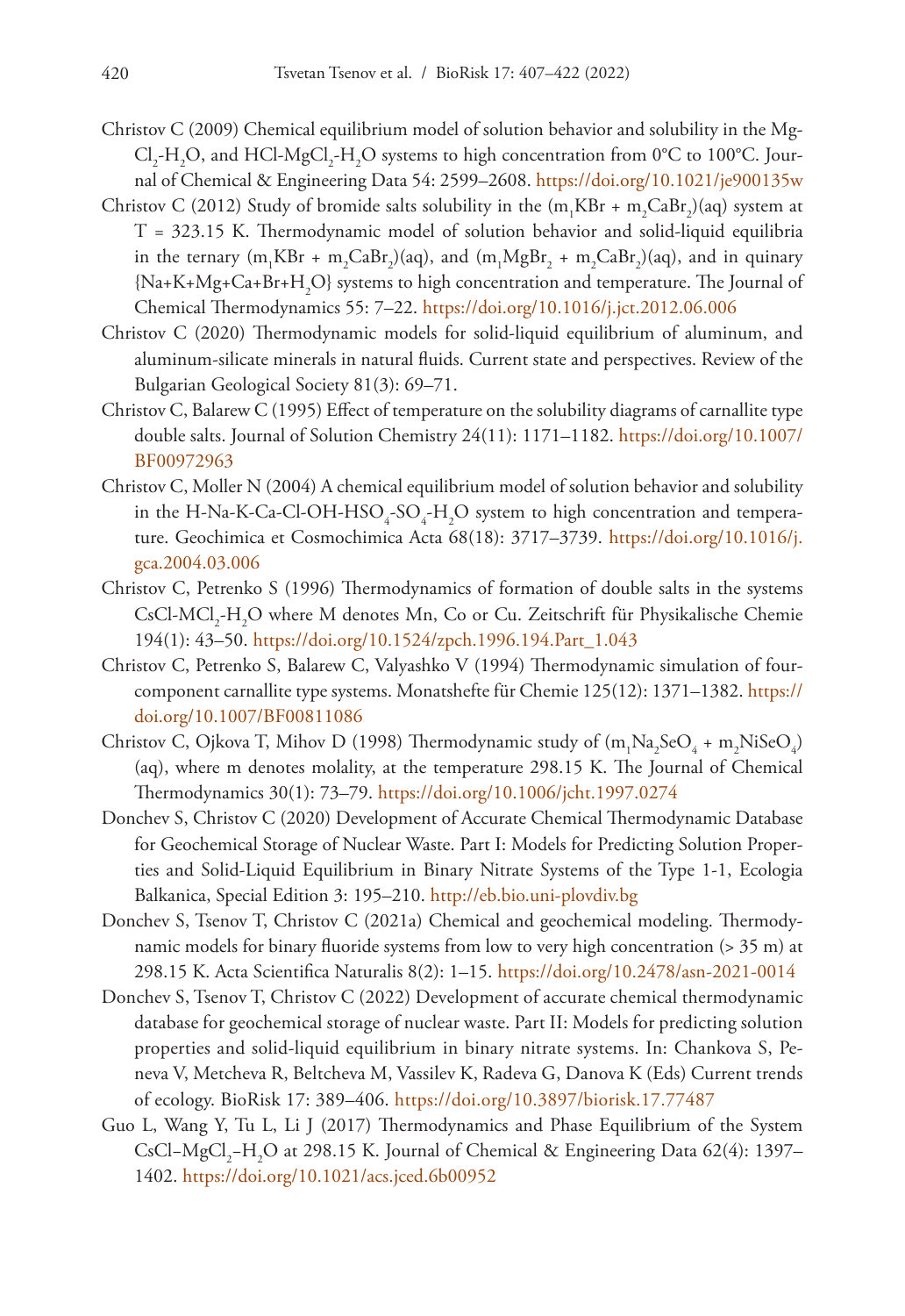- Christov C (2009) Chemical equilibrium model of solution behavior and solubility in the Mg-Cl<sub>2</sub>-H<sub>2</sub>O, and HCl-MgCl<sub>2</sub>-H<sub>2</sub>O systems to high concentration from 0°C to 100°C. Journal of Chemical & Engineering Data 54: 2599–2608.<https://doi.org/10.1021/je900135w>
- Christov C (2012) Study of bromide salts solubility in the  $(m_1KBr + m_2CaBr_2)(aq)$  system at T = 323.15 K. Thermodynamic model of solution behavior and solid-liquid equilibria in the ternary (m<sub>1</sub>KBr + m<sub>2</sub>CaBr<sub>2</sub>)(aq), and (m<sub>1</sub>MgBr<sub>2</sub> + m<sub>2</sub>CaBr<sub>2</sub>)(aq), and in quinary  ${Na+K+Mg+Ca+Br+H}_{2}$  systems to high concentration and temperature. The Journal of Chemical Thermodynamics 55: 7–22. <https://doi.org/10.1016/j.jct.2012.06.006>
- Christov C (2020) Thermodynamic models for solid-liquid equilibrium of aluminum, and aluminum-silicate minerals in natural fluids. Current state and perspectives. Review of the Bulgarian Geological Society 81(3): 69–71.
- Christov C, Balarew C (1995) Effect of temperature on the solubility diagrams of carnallite type double salts. Journal of Solution Chemistry 24(11): 1171–1182. [https://doi.org/10.1007/](https://doi.org/10.1007/BF00972963) [BF00972963](https://doi.org/10.1007/BF00972963)
- Christov C, Moller N (2004) A chemical equilibrium model of solution behavior and solubility in the H-Na-K-Ca-Cl-OH-HSO<sub>4</sub>-SO<sub>4</sub>-H<sub>2</sub>O system to high concentration and temperature. Geochimica et Cosmochimica Acta 68(18): 3717–3739. [https://doi.org/10.1016/j.](https://doi.org/10.1016/j.gca.2004.03.006) [gca.2004.03.006](https://doi.org/10.1016/j.gca.2004.03.006)
- Christov C, Petrenko S (1996) Thermodynamics of formation of double salts in the systems  $CsCl-MCl<sub>2</sub>-H<sub>2</sub>O$  where M denotes Mn, Co or Cu. Zeitschrift für Physikalische Chemie 194(1): 43–50. [https://doi.org/10.1524/zpch.1996.194.Part\\_1.043](https://doi.org/10.1524/zpch.1996.194.Part_1.043)
- Christov C, Petrenko S, Balarew C, Valyashko V (1994) Thermodynamic simulation of fourcomponent carnallite type systems. Monatshefte für Chemie 125(12): 1371–1382. [https://](https://doi.org/10.1007/BF00811086) [doi.org/10.1007/BF00811086](https://doi.org/10.1007/BF00811086)
- Christov C, Ojkova T, Mihov D (1998) Thermodynamic study of  $(m_1Na_2SeO_4 + m_2NiSeO_4)$ (aq), where m denotes molality, at the temperature 298.15 K. The Journal of Chemical Thermodynamics 30(1): 73–79.<https://doi.org/10.1006/jcht.1997.0274>
- Donchev S, Christov C (2020) Development of Accurate Chemical Thermodynamic Database for Geochemical Storage of Nuclear Waste. Part I: Models for Predicting Solution Properties and Solid-Liquid Equilibrium in Binary Nitrate Systems of the Type 1-1, Ecologia Balkanica, Special Edition 3: 195–210. <http://eb.bio.uni-plovdiv.bg>
- Donchev S, Tsenov T, Christov C (2021a) Chemical and geochemical modeling. Thermodynamic models for binary fluoride systems from low to very high concentration (> 35 m) at 298.15 K. Acta Scientifica Naturalis 8(2): 1–15.<https://doi.org/10.2478/asn-2021-0014>
- Donchev S, Tsenov T, Christov C (2022) Development of accurate chemical thermodynamic database for geochemical storage of nuclear waste. Part II: Models for predicting solution properties and solid-liquid equilibrium in binary nitrate systems. In: Chankova S, Peneva V, Metcheva R, Beltcheva M, Vassilev K, Radeva G, Danova K (Eds) Current trends of ecology. BioRisk 17: 389–406. <https://doi.org/10.3897/biorisk.17.77487>
- Guo L, Wang Y, Tu L, Li J (2017) Thermodynamics and Phase Equilibrium of the System CsCl–MgCl<sub>2</sub>–H<sub>2</sub>O at 298.15 K. Journal of Chemical & Engineering Data 62(4): 1397– 1402.<https://doi.org/10.1021/acs.jced.6b00952>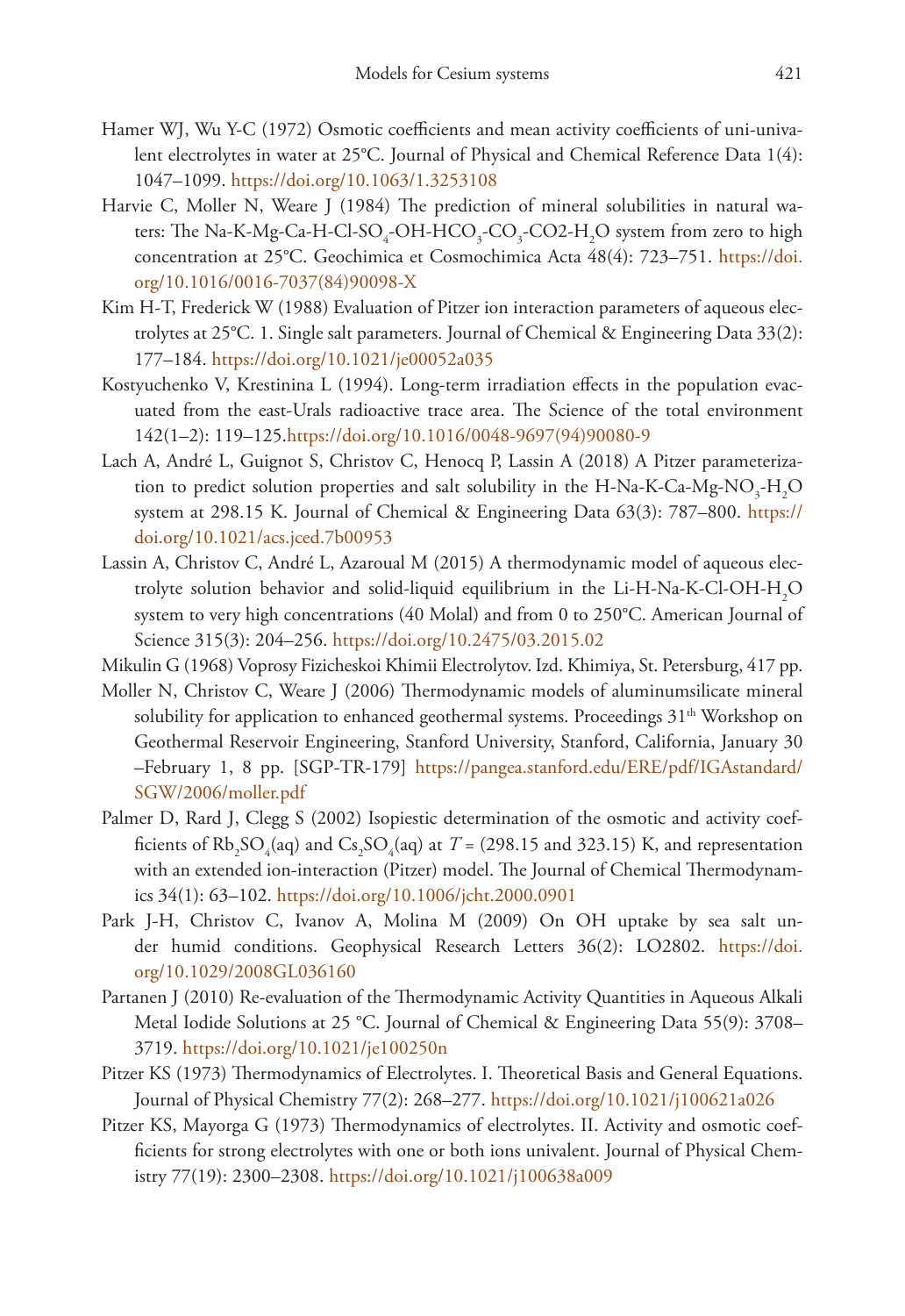- Hamer WJ, Wu Y-C (1972) Osmotic coefficients and mean activity coefficients of uni-univalent electrolytes in water at 25°C. Journal of Physical and Chemical Reference Data 1(4): 1047–1099.<https://doi.org/10.1063/1.3253108>
- Harvie C, Moller N, Weare J (1984) The prediction of mineral solubilities in natural waters: The Na-K-Mg-Ca-H-Cl-SO<sub>4</sub>-OH-HCO<sub>3</sub>-CO<sub>3</sub>-CO2-H<sub>2</sub>O system from zero to high concentration at 25°C. Geochimica et Cosmochimica Acta 48(4): 723–751. [https://doi.](https://doi.org/10.1016/0016-7037(84)90098-X) [org/10.1016/0016-7037\(84\)90098-X](https://doi.org/10.1016/0016-7037(84)90098-X)
- Kim H-T, Frederick W (1988) Evaluation of Pitzer ion interaction parameters of aqueous electrolytes at 25°C. 1. Single salt parameters. Journal of Chemical & Engineering Data 33(2): 177–184.<https://doi.org/10.1021/je00052a035>
- Kostyuchenko V, Krestinina L (1994). Long-term irradiation effects in the population evacuated from the east-Urals radioactive trace area. The Science of the total environment 142(1–2): 119–125[.https://doi.org/10.1016/0048-9697\(94\)90080-9](https://doi.org/10.1016/0048-9697(94)90080-9)
- Lach A, André L, Guignot S, Christov C, Henocq P, Lassin A (2018) A Pitzer parameterization to predict solution properties and salt solubility in the H-Na-K-Ca-Mg-NO<sub>3</sub>-H<sub>2</sub>O system at 298.15 K. Journal of Chemical & Engineering Data 63(3): 787–800. [https://](https://doi.org/10.1021/acs.jced.7b00953) [doi.org/10.1021/acs.jced.7b00953](https://doi.org/10.1021/acs.jced.7b00953)
- Lassin A, Christov C, André L, Azaroual M (2015) A thermodynamic model of aqueous electrolyte solution behavior and solid-liquid equilibrium in the Li-H-Na-K-Cl-OH-H<sub>2</sub>O system to very high concentrations (40 Molal) and from 0 to 250°C. American Journal of Science 315(3): 204–256. <https://doi.org/10.2475/03.2015.02>
- Mikulin G (1968) Voprosy Fizicheskoi Khimii Electrolytov. Izd. Khimiya, St. Petersburg, 417 pp.
- Moller N, Christov C, Weare J (2006) Thermodynamic models of aluminumsilicate mineral solubility for application to enhanced geothermal systems. Proceedings  $31<sup>th</sup>$  Workshop on Geothermal Reservoir Engineering, Stanford University, Stanford, California, January 30 –February 1, 8 pp. [SGP-TR-179] [https://pangea.stanford.edu/ERE/pdf/IGAstandard/](https://pangea.stanford.edu/ERE/pdf/IGAstandard/SGW/2006/moller.pdf) [SGW/2006/moller.pdf](https://pangea.stanford.edu/ERE/pdf/IGAstandard/SGW/2006/moller.pdf)
- Palmer D, Rard J, Clegg S (2002) Isopiestic determination of the osmotic and activity coefficients of  $Rb_2SO_4$ (aq) and  $Cs_2SO_4$ (aq) at  $T = (298.15 \text{ and } 323.15) \text{ K}$ , and representation with an extended ion-interaction (Pitzer) model. The Journal of Chemical Thermodynamics 34(1): 63–102.<https://doi.org/10.1006/jcht.2000.0901>
- Park J-H, Christov C, Ivanov A, Molina M (2009) On OH uptake by sea salt under humid conditions. Geophysical Research Letters 36(2): LO2802. [https://doi.](https://doi.org/10.1029/2008GL036160) [org/10.1029/2008GL036160](https://doi.org/10.1029/2008GL036160)
- Partanen J (2010) Re-evaluation of the Thermodynamic Activity Quantities in Aqueous Alkali Metal Iodide Solutions at 25 °C. Journal of Chemical & Engineering Data 55(9): 3708– 3719.<https://doi.org/10.1021/je100250n>
- Pitzer KS (1973) Thermodynamics of Electrolytes. I. Theoretical Basis and General Equations. Journal of Physical Chemistry 77(2): 268–277. <https://doi.org/10.1021/j100621a026>
- Pitzer KS, Mayorga G (1973) Thermodynamics of electrolytes. II. Activity and osmotic coefficients for strong electrolytes with one or both ions univalent. Journal of Physical Chemistry 77(19): 2300–2308.<https://doi.org/10.1021/j100638a009>